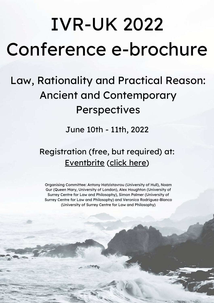# IVR-UK 2022 Conference e-brochure

# Law, Rationality and Practical Reason: Ancient and Contemporary **Perspectives**

June 10th - 11th, 2022

# Registration (free, but required) at: [Eventbrite](https://eur02.safelinks.protection.outlook.com/?url=https%3A%2F%2Fwww.eventbrite.co.uk%2Fe%2Fuk-ivr-2022-annual-conference-law-rationality-and-practical-reason-tickets-329641465497&data=05%7C01%7Csimon.palmer%40surrey.ac.uk%7Cf95cfc25f0c448d83a2508da291234b2%7C6b902693107440aa9e21d89446a2ebb5%7C0%7C0%7C637867455410974104%7CUnknown%7CTWFpbGZsb3d8eyJWIjoiMC4wLjAwMDAiLCJQIjoiV2luMzIiLCJBTiI6Ik1haWwiLCJXVCI6Mn0%3D%7C3000%7C%7C%7C&sdata=dcaAI40U8GRCwnJFSWc4MwCgBdUbytdB5dWXSWW5Yoo%3D&reserved=0) (click [here](https://www.eventbrite.co.uk/e/uk-ivr-2022-annual-conference-law-rationality-and-practical-reason-tickets-329641465497))

Organising Committee: Antony Hatzistavrou (University of Hull), Noam Gur (Queen Mary, University of London), Alex Houghton (University of Surrey Centre for Law and Philosophy), Simon Palmer (University of Surrey Centre for Law and Philosophy) and Veronica Rodriguez-Blanco (University of Surrey Centre for Law and Philosophy)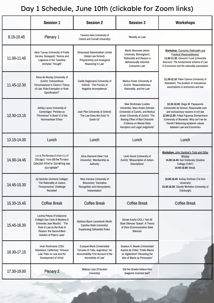# Day 1 Schedule, June 10th (clickable for Zoom links)

|             | <b>Session 1</b>                                                                                                                                                                    | <b>Session 2</b>                                                                                                                | <b>Session 3</b>                                                                                                                                                                                                                                | Workshops                                                                                                                                                                                                                                                                       |
|-------------|-------------------------------------------------------------------------------------------------------------------------------------------------------------------------------------|---------------------------------------------------------------------------------------------------------------------------------|-------------------------------------------------------------------------------------------------------------------------------------------------------------------------------------------------------------------------------------------------|---------------------------------------------------------------------------------------------------------------------------------------------------------------------------------------------------------------------------------------------------------------------------------|
| 9.15-10.45  | Plenary 1                                                                                                                                                                           | Terence Irwin (University of<br>Oxford and Cornell University)                                                                  | 'Morality as Law'                                                                                                                                                                                                                               |                                                                                                                                                                                                                                                                                 |
| 11.00-11.45 | Akos Tussay (University of Public<br>Service, Budapest): 'Nomos and<br>Logismos in the Tarantine<br>Archytas' Thought'                                                              | Shivprasad Swaminathan (Jindal<br>Global Law School):<br>'Polycentricity and Analogical<br>Reasoning in Law'                    | Martin Brenncke (Aston<br>University, Birmingham):<br>'Rationality and Reason in<br><b>Behaviourally Informed</b><br>Consumer Law'                                                                                                              | <b>Workshop: 'Economic Rationality and</b><br><b>Practical Reasonableness'</b><br>11.00-11.35: Giovanni Tuzet (Universita<br>Bocconi): The fundamental scheme of Law<br>& Economics and the rationality assumption                                                              |
| 11.45-12.30 | Rene de Nicolay (University of<br>Zurich): 'Extraordinary<br>Circumstances in Cicero's Theory<br>of Law: Rule-Exemption or Rule-<br>Specification?'                                 | Cecile Degiovanni (University of<br>Oxford): 'The Puzzles of<br>Negative Incompetence'                                          | Markus Kneer (University of<br>Zurich): 'Reasonableness,<br>Rationality, and the Law'                                                                                                                                                           | 11.35-12.10: Peter Cserne (University of<br>Aberdeen): The problem of motivational<br>assumptions in economics and law                                                                                                                                                          |
| 12.30-13.15 | Ashley Lance (University of<br>Cambridge): 'Pericles as<br>"Phronimos" in Book VI of the<br>Nicomachean Ethics'                                                                     | Josh Pike (University of Oxford):<br>'The Law Does Not Exist To<br>Guide Us'                                                    | Niek Strohmaier (Leiden<br>University), Marc-Andre Zehnder<br>(University of Zurich), and Markus<br>Kneer (University of Zurich): 'The<br>Biasing Effect of Bad Character<br><b>Evidence on Mental State</b><br>Ascription and Legal Judgments' | 12.10-12.45: Diego M. Papayannis<br>(Universitat de Girona): Reasonable care<br>and exclusionary reasons in tort law<br>12.45-13.20: Felipe Figueroa Zimmermann<br>(University of Warwick): Why can't we be<br>friends? Balancing epistemic values<br>between Law and Economics |
| 13.15-14.00 | Lunch                                                                                                                                                                               | Lunch                                                                                                                           | Lunch                                                                                                                                                                                                                                           | Lunch                                                                                                                                                                                                                                                                           |
| 14.00-14.45 | Laura Bevilacqua (University of<br>Chicago): 'How did the Romans<br>Establish Whether Something was<br>Appropriate?'                                                                | Alma Diamond (New York<br>University): 'Membership as<br>Authority'                                                             | Levin Guver (University of<br>Zurich): 'Misascription of Action-<br>Descriptions'                                                                                                                                                               | Workshop: John Gardner's Torts and Other<br>Wrongs<br>14.00-14.45: Sari Kisilevsky (Queens<br>College CUNY)<br>14.45-15.00: Break.                                                                                                                                              |
| 14.45-15.30 | Jyl Gentzler (Amherst College):<br>'The Rationality of Justice:<br>Thrasymachus' Challenge<br>Revisited'                                                                            | Nina Varsava (University of<br>Wisconsin): 'Derivative<br>Recognition and Intersystemic<br>Interpretation'                      |                                                                                                                                                                                                                                                 | 15.00-15.45: Avihay Dorfman (Tel Aviv<br>University)<br>15.45-16.30: Claudio Michelon (University of<br>Edinburgh)                                                                                                                                                              |
| 15.30-15.45 | <b>Coffee Break</b>                                                                                                                                                                 | <b>Coffee Break</b>                                                                                                             | <b>Coffee Break</b>                                                                                                                                                                                                                             | <b>Coffee Break</b>                                                                                                                                                                                                                                                             |
| 15.45-16.30 | Lavinia Peluso (Fondazione<br>Collegio San Carlo di Modena &<br>Universite Jean Moulin): 'The<br>Rule of Law as the Rule of<br>Reason: the Second-Best<br>Solution of Plato's Laws' | Barbara Baum Levenbook (North<br>Carolina State University):<br>'Supplanting Defeasible Rules'                                  | Danae Azaria (UCL): 'Not All<br>State Silences 'Speak': A Theory<br>of (Non-)Communicative State<br>Silences'                                                                                                                                   |                                                                                                                                                                                                                                                                                 |
| 16.30-17.15 | Iman Roohnavaz (CSU<br>Stanislaus, California): 'Virtuous<br>Law: Plato on Law and the<br>Development of Virtue'                                                                    | Ezequiel Monti (Universidad<br>Torcuato Di Tella, Argentina): 'An<br>Accountability First Account of the<br>Normativity of Law' | Gustavo A. Beade (Universidad<br>Austral de Chile): 'Public Blame<br>as Vigilantism? Recasting the<br>Idea of Blame as Persuasion'                                                                                                              |                                                                                                                                                                                                                                                                                 |
| 17.30-19.00 | <b>Plenary 2</b>                                                                                                                                                                    | Melissa Lane (Princeton<br>University)                                                                                          | 'Did the Greeks believe their<br>lawgivers invented law?'                                                                                                                                                                                       |                                                                                                                                                                                                                                                                                 |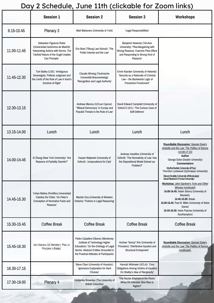## Day 2 Schedule, June 11th (clickable for Zoom links)

|             | <b>Session 1</b>                                                                                                                                                | <b>Session 2</b>                                                                                                                                                                                   | <b>Session 3</b>                                                                                                                                      | <b>Workshops</b>                                                                                                                                                                                                                                                                                                                                              |
|-------------|-----------------------------------------------------------------------------------------------------------------------------------------------------------------|----------------------------------------------------------------------------------------------------------------------------------------------------------------------------------------------------|-------------------------------------------------------------------------------------------------------------------------------------------------------|---------------------------------------------------------------------------------------------------------------------------------------------------------------------------------------------------------------------------------------------------------------------------------------------------------------------------------------------------------------|
| 9.15-10.45  | Plenary 3                                                                                                                                                       | Matt Matravers (University of York)                                                                                                                                                                | 'Legal Responsibilities'                                                                                                                              |                                                                                                                                                                                                                                                                                                                                                               |
| 11.00-11.45 | Sebastian Figueroa Rubio<br>(Universidad Autónoma de Madrid):<br>'Interpreting Actions with Norms: The<br>Twofold Nature of the Ought Implies<br>Can Principle' | Eric Boot (Tilburg Law School): 'The<br>Public Interest and the Law'                                                                                                                               | Benjamin Newman (Tel-Aviv<br>University): 'Plea-Bargaining with<br>Wrong Reasons: Coercive Plea-Offers<br>and Responding to Wrong Kind of<br>Reasons' |                                                                                                                                                                                                                                                                                                                                                               |
| 11.45-12.30 | Tom Bailey (LSE): 'Ambiguous<br>Sovereignty: Political Judgment and<br>the Limits of the Rule of Law in Kant's<br>Doctrine of Right'                            | Claudia Wirsing (Technische<br>Universität Braunschweig):<br>'Recognition and Legal Authority'                                                                                                     | Emmi Kiander (University of Helsinki):<br>'Security as a Rationale of Criminal<br>Law - the Backwards Logic of<br>Preventive Punishment'              |                                                                                                                                                                                                                                                                                                                                                               |
| 12.30-13.15 |                                                                                                                                                                 | Andreas Marcou (UCLan Cyprus):<br>"Illiberal Democracy' in Europe and<br>Populist Threats to the Rule of Law'                                                                                      | David Edward Campbell (University of<br>Oxford & UCL): 'The Curious Case of<br>Self-Defence'                                                          |                                                                                                                                                                                                                                                                                                                                                               |
| 13.15-14.00 | Lunch                                                                                                                                                           | Lunch                                                                                                                                                                                              | Lunch                                                                                                                                                 | Lunch                                                                                                                                                                                                                                                                                                                                                         |
| 14.00-14.45 | Xi Zhang (New York University): 'Are<br>Reasons of Partiality Deontic?'                                                                                         | Kacper Majewski (University of<br>Oxford): 'Jurisprudence for Cats'                                                                                                                                | Andreas Vassiliou (University of<br>Oxford): 'The Normativity of Law: Has<br>the Dispositional Model Solved our<br>Problem?'                          | Roundtable Discussion: George Duke's<br>Aristotle and the Law: The Politics of Nomos<br>$(14.00 - 17.15)$<br><b>Author</b><br>George Duke (Deakin University)<br><b>Commentators</b><br>Myrthe Bartels (University of Pisa)<br>Thornton Lockwood (Quinnipiac University)<br>Steven Skultety (University of Mississippi)<br>David Riesbeck (Purdue University) |
| 14.45-15.30 | Yohan Molina (Pontifica Universidad<br>Catolica De Chile): 'On Peter's<br>Conception of Normative Facts and<br>Reasons'                                         | Manish Oza (University of Western<br>Ontario): 'Fictions in Legal Reasoning'                                                                                                                       |                                                                                                                                                       | Workshop: John Gardner's Torts and Other<br>Wrongs (continued)<br>14.00-14.45: Adam Slavny (University of<br>Warwick)<br>14.45-15.00: Break.<br>15.00-15.45: Paul B. Miller (University of Notre<br>Dame)<br>15.45-16.30: Haris Psarras (University of<br>Southampton)                                                                                        |
| 15.30-15.45 | <b>Coffee Break</b>                                                                                                                                             | <b>Coffee Break</b>                                                                                                                                                                                | <b>Coffee Break</b>                                                                                                                                   | <b>Coffee Break</b>                                                                                                                                                                                                                                                                                                                                           |
| 15.45-16.30 | Sam Stevens (UC Berkeley): 'Plato on<br>Precision in Politics'                                                                                                  | Pedro Caballero Elbersci (Monterrey<br>Institute of Technology Higher<br>Education): 'On the Ontology of Legal<br>Norms: Abstract Entities Grounded in<br>the Practical Attitudes of Participants' | Hochan "Sonny" Kim (University of<br>Princeton): 'Distributive Injustice and<br>Structural Entrapment'                                                | Roundtable Discussion: George Duke's<br>Aristotle and the Law: The Politics of Nomos<br>(continued).                                                                                                                                                                                                                                                          |
| 16.30-17.15 |                                                                                                                                                                 | Steve Chan (University of Houston):<br>'Ignorance Explanation for Hard<br>Choices'                                                                                                                 | Hannah Widmaier (UCLA): 'Civic<br><b>Obligations Among Victims of Injustice:</b><br>On Shelby's Idea of Reciprocity'                                  |                                                                                                                                                                                                                                                                                                                                                               |
| 17.30-19.00 | Plenary 4                                                                                                                                                       | Kimberley Brownlee (The University of<br><b>British Columbia)</b>                                                                                                                                  | 'The Razian Elephant in the Room:<br>When Do Interests Give Rise to<br>Rights?'                                                                       |                                                                                                                                                                                                                                                                                                                                                               |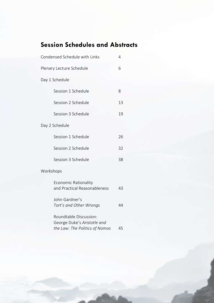### **Session Schedules and Abstracts**

| Condensed Schedule with Links<br>4 |                                                                                         |    |
|------------------------------------|-----------------------------------------------------------------------------------------|----|
|                                    | Plenary Lecture Schedule                                                                | 6  |
|                                    | Day 1 Schedule                                                                          |    |
|                                    | Session 1 Schedule                                                                      | 8  |
|                                    | Session 2 Schedule                                                                      | 13 |
|                                    | Session 3 Schedule                                                                      | 19 |
|                                    | Day 2 Schedule                                                                          |    |
|                                    | Session 1 Schedule                                                                      | 26 |
|                                    | Session 2 Schedule                                                                      | 32 |
|                                    | Session 3 Schedule                                                                      | 38 |
| Workshops                          |                                                                                         |    |
|                                    | Economic Rationality<br>and Practical Reasonableness                                    | 43 |
|                                    | John Gardner's<br>Tort's and Other Wrongs                                               | 44 |
|                                    | Roundtable Discussion:<br>George Duke's Aristotle and<br>the Law: The Politics of Nomos | 45 |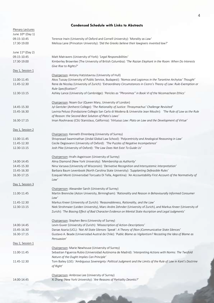|                     | <b>Condensed Schedule with Links to Abstracts</b>                                                                                                                                                                         |
|---------------------|---------------------------------------------------------------------------------------------------------------------------------------------------------------------------------------------------------------------------|
| Plenary Lectures    |                                                                                                                                                                                                                           |
| June $10th$ (Day 1) |                                                                                                                                                                                                                           |
| 09.15-10.45         | Terence Irwin (University of Oxford and Cornell University): 'Morality as Law'                                                                                                                                            |
| 17.30-19.00         | Melissa Lane (Princeton University): 'Did the Greeks believe their lawgivers invented law?'                                                                                                                               |
| June $11th$ (Day 2) |                                                                                                                                                                                                                           |
| 09.15-10.45         | Matt Matravers (University of York): 'Legal Responsibilities'                                                                                                                                                             |
| 17.30-19.00         | Kimberley Brownlee (The University of British Columbia): 'The Razian Elephant in the Room: When Do Interests<br>Give Rise to Rights?'                                                                                     |
| Day 1, Session 1    | Chairperson: Antony Hatzistavrou (University of Hull)                                                                                                                                                                     |
|                     |                                                                                                                                                                                                                           |
| 11.00-11.45         | Akos Tussay (University of Public Service, Budapest): 'Nomos and Logismos in the Tarantine Archytas' Thought'                                                                                                             |
| 11.45-12.30         | Rene de Nicolay (University of Zurich): 'Extraordinary Circumstances in Cicero's Theory of Law: Rule-Exemption or<br>Rule-Specification?'                                                                                 |
| 12.30-13.15         | Ashley Lance (University of Cambridge): 'Pericles as "Phronimos" in Book VI of the Nicomachean Ethics'                                                                                                                    |
|                     | Chairperson: Noam Gur (Queen Mary, University of London)                                                                                                                                                                  |
| 14.45-15.30         | Jyl Gentzler (Amherst College): 'The Rationality of Justice: Thrasymachus' Challenge Revisited'                                                                                                                           |
| 15.45-16.30         | Lavinia Peluso (Fondazione Collegio San Carlo di Modena & Universite Jean Moulin): 'The Rule of Law as the Rule<br>of Reason: the Second-Best Solution of Plato's Laws'                                                   |
| 16.30-17.15         | Iman Roohnavaz (CSU Stanislaus, California): 'Virtuous Law: Plato on Law and the Development of Virtue'                                                                                                                   |
| Day 1, Session 2    |                                                                                                                                                                                                                           |
|                     | Chairperson: Kenneth Ehrenberg (University of Surrey)                                                                                                                                                                     |
| 11.00-11.45         | Shivprasad Swaminathan (Jindal Global Law School): 'Polycentricity and Analogical Reasoning in Law'                                                                                                                       |
| 11.45-12.30         | Cecile Degiovanni (University of Oxford): 'The Puzzles of Negative Incompetence'                                                                                                                                          |
| 12.30-13.15         | Josh Pike (University of Oxford): 'The Law Does Not Exist To Guide Us'                                                                                                                                                    |
|                     | Chairperson: Hrafn Asgeirsson (University of Surrey)                                                                                                                                                                      |
| 14.00-14.45         | Alma Diamond (New York University): 'Membership as Authority'                                                                                                                                                             |
| 14.45-15.30         | Nina Varsava (University of Wisconsin): 'Derivative Recognition and Intersystemic Interpretation'                                                                                                                         |
| 15.45-16.30         | Barbara Baum Levenbook (North Carolina State University): 'Supplanting Defeasible Rules'                                                                                                                                  |
| 16.30-17.15         | Ezequiel Monti (Universidad Torcuato Di Tella, Argentina): 'An Accountability First Account of the Normativity of                                                                                                         |
|                     | Law'                                                                                                                                                                                                                      |
| Day 1, Session 3    |                                                                                                                                                                                                                           |
|                     | Chairperson: Alexander Sarch (University of Surrey)                                                                                                                                                                       |
| 11.00-11.45         | Martin Brenncke (Aston University, Birmingham): 'Rationality and Reason in Behaviourally Informed Consumer<br>Law'                                                                                                        |
| 11.45-12.30         | Markus Kneer (University of Zurich): 'Reasonableness, Rationality, and the Law'                                                                                                                                           |
| 12.30-13.15         | Niek Strohmaier (Leiden University), Marc-Andre Zehnder (University of Zurich), and Markus Kneer (University of<br>Zurich): 'The Biasing Effect of Bad Character Evidence on Mental State Ascription and Legal Judgments' |
|                     |                                                                                                                                                                                                                           |
|                     | Chairperson: Stephen Bero (University of Surrey)                                                                                                                                                                          |
| 14.00-14.45         | Levin Guver (University of Zurich): 'Misascription of Action-Descriptions'                                                                                                                                                |
| 15.45-16.30         | Danae Azaria (UCL): 'Not All State Silences 'Speak': A Theory of (Non-)Communicative State Silences'                                                                                                                      |
| 16.30-17.15         | Gustavo A. Beade (Universidad Austral de Chile): 'Public Blame as Vigilantism? Recasting the Idea of Blame as<br>Persuasion'                                                                                              |
| Day 2, Session 1    |                                                                                                                                                                                                                           |
|                     | Chairperson: Marie Newhouse (University of Surrey)                                                                                                                                                                        |
| 11.00-11.45         | Sebastian Figueroa Rubio (Universidad Autónoma de Madrid): 'Interpreting Actions with Norms: The Twofold                                                                                                                  |
|                     | Nature of the Ought Implies Can Principle'                                                                                                                                                                                |
| 11.45-12.30         | Tom Bailey (LSE): 'Ambiguous Sovereignty: Political Judgment and the Limits of the Rule of Law in Kant's Doctrine<br>of Right'                                                                                            |
|                     |                                                                                                                                                                                                                           |
|                     | Chairperson: Ambrose Lee (University of Surrey)                                                                                                                                                                           |
| 14.00-14.45         | Xi Zhang (New York University): 'Are Reasons of Partiality Deontic?'                                                                                                                                                      |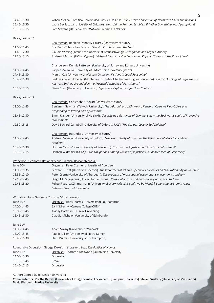| 14.45-15.30           | Yohan Molina (Pontifica Universidad Catolica De Chile): 'On Peter's Conception of Normative Facts and Reasons'                               |
|-----------------------|----------------------------------------------------------------------------------------------------------------------------------------------|
| 15.45-16.30           | Laura Bevilacqua (University of Chicago): 'How did the Romans Establish Whether Something was Appropriate?'                                  |
| 16.30-17.15           | Sam Stevens (UC Berkeley): 'Plato on Precision in Politics'                                                                                  |
| Day 2, Session 2      |                                                                                                                                              |
|                       | Chairperson: Bebhinn Donnelly-Lazarov (University of Surrey)                                                                                 |
| 11.00-11.45           | Eric Boot (Tilburg Law School): 'The Public Interest and the Law'                                                                            |
| 11.45-12.30           | Claudia Wirsing (Technische Universität Braunschweig): 'Recognition and Legal Authority'                                                     |
| 12.30-13.15           | Andreas Marcou (UCLan Cyprus): "Illiberal Democracy' in Europe and Populist Threats to the Rule of Law'                                      |
|                       | Chairperson: Dennis Patterson (University of Surrey and Rutgers University)                                                                  |
| 14.00-14.45           | Kacper Majewski (University of Oxford): 'Jurisprudence for Cats'                                                                             |
| 14.45-15.30           | Manish Oza (University of Western Ontario): 'Fictions in Legal Reasoning'                                                                    |
| 15.45-16.30           | Pedro Caballero Elbersci (Monterrey Institute of Technology Higher Education): 'On the Ontology of Legal Norms:                              |
|                       | Abstract Entities Grounded in the Practical Attitudes of Participants'                                                                       |
| 16.30-17.15           | Steve Chan (University of Houston): 'Ignorance Explanation for Hard Choices'                                                                 |
| Day 2, Session 3      |                                                                                                                                              |
|                       | Chairperson: Christopher Taggart (University of Surrey)                                                                                      |
| 11.00-11.45           | Benjamin Newman (Tel-Aviv University): 'Plea-Bargaining with Wrong Reasons: Coercive Plea-Offers and<br>Responding to Wrong Kind of Reasons' |
| 11.45-12.30           | Emmi Kiander (University of Helsinki): 'Security as a Rationale of Criminal Law - the Backwards Logic of Preventive<br>Punishment'           |
| 12.30-13.15           | David Edward Campbell (University of Oxford & UCL): 'The Curious Case of Self-Defence'                                                       |
|                       | Chairperson: Ira Lindsay (University of Surrey)                                                                                              |
| 14.00-14.45           | Andreas Vassiliou (University of Oxford): 'The Normativity of Law: Has the Dispositional Model Solved our                                    |
|                       | Problem?'                                                                                                                                    |
| 15.45-16.30           | Hochan "Sonny" Kim (University of Princeton): 'Distributive Injustice and Structural Entrapment'                                             |
| 16.30-17.15           | Hannah Widmaier (UCLA): 'Civic Obligations Among Victims of Injustice: On Shelby's Idea of Reciprocity'                                      |
|                       | Workshop: 'Economic Rationality and Practical Reasonableness'                                                                                |
| June 10th             | Organiser: Peter Cserne (University of Aberdeen)                                                                                             |
| 11.00-11.35           | Giovanni Tuzet (Universita Bocconi): The fundamental scheme of Law & Economics and the rationality assumption                                |
| 11.35-12.10           | Peter Cserne (University of Aberdeen): The problem of motivational assumptions in economics and law                                          |
| 12.10-12.45           | Diego M. Papayannis (Universitat de Girona): Reasonable care and exclusionary reasons in tort law                                            |
| 12.45-13.20           | Felipe Figueroa Zimmermann (University of Warwick): Why can't we be friends? Balancing epistemic values<br>between Law and Economics         |
|                       |                                                                                                                                              |
| June 10th             | Workshop: John Gardner's Torts and Other Wrongs                                                                                              |
| 14.00-14.45           | Organiser: Haris Psarras (University of Southampton)<br>Sari Kisilevsky (Queens College CUNY)                                                |
| 15.00-15.45           | Avihay Dorfman (Tel Aviv University)                                                                                                         |
| 15.45-16.30           | Claudio Michelon (University of Edinburgh)                                                                                                   |
|                       |                                                                                                                                              |
| June 11 <sup>th</sup> |                                                                                                                                              |
| 14.00-14.45           | Adam Slavny (University of Warwick)                                                                                                          |
| 15.00-15.45           | Paul B. Miller (University of Notre Dame)                                                                                                    |
| 15.45-16.30           | Haris Psarras (University of Southampton)                                                                                                    |
|                       | Roundtable Discussion: George Duke's Aristotle and Law: The Politics of Nomos                                                                |
| June 11 <sup>th</sup> | Organiser: Thornton Lockwood (Quinnipiac University)                                                                                         |
| 14.00-15.30           | Discussion                                                                                                                                   |
| 15.30-15.45           | <b>Break</b>                                                                                                                                 |
| 15.45-17.15           | Discussion                                                                                                                                   |

5

Author: George Duke (Deakin University)

David Riesbeck (Purdue University). [Commentators: Myrthe Bartels \(University of Pisa\),Thornton Lockwood \(Quinnipiac University\), Steven Skultety \(University of Mississippi\),](#page-44-0)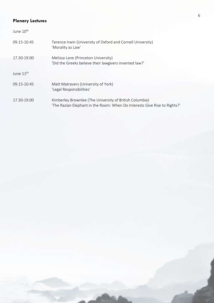#### <span id="page-6-0"></span>**Plenary Lectures**

June 10<sup>th</sup>

| 09.15-10.45           | Terence Irwin (University of Oxford and Cornell University)<br>'Morality as Law'                                                     |
|-----------------------|--------------------------------------------------------------------------------------------------------------------------------------|
| 17.30-19.00           | Melissa Lane (Princeton University)<br>'Did the Greeks believe their lawgivers invented law?'                                        |
| June 11 <sup>th</sup> |                                                                                                                                      |
| 09.15-10.45           | Matt Matravers (University of York)<br>'Legal Responsibilities'                                                                      |
| 17.30-19.00           | Kimberley Brownlee (The University of British Columbia)<br>'The Razian Elephant in the Room: When Do Interests Give Rise to Rights?' |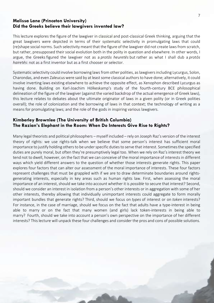#### **Melissa Lane (Princeton University) Did the Greeks believe their lawgivers invented law?**

This lecture explores the figure of the lawgiver in classical and post-classical Greek thinking, arguing that the great lawgivers were depicted in terms of their systematic selectivity in promulgating laws that could (re)shape social norms. Such selectivity meant that the figure of the lawgiver did not create lawsfrom scratch, but rather, presupposed their social evolution both in the polity in question and elsewhere. In other words, I argue, the Greeks figured the lawgiver not as a *protōs heuretēs* but rather as what I shall dub a *protōs hairetēs*: not as a first inventor but as a first chooser or selector.

Systematic selectivity could involve borrowing laws from other polities, as lawgivers including Lycurgus, Solon, Charondas, and even Zaleucuswere said by at leastsome classical authorsto have done; alternatively, it could involve inverting laws existing elsewhere to achieve the opposite effect, as Xenophon described Lycurgus as having done. Building on Karl-Joachim Hölkeskamp's study of the fourth-century BCE philosophical delineation of the figure of the lawgiver (against the varied backdrop of the actual emergence of Greek laws), this lecture relates to debates about the ultimate originator of laws in a given polity (or in Greek polities overall); the role of colonization and the borrowing of laws in that context; the technology of writing as a means for promulgating laws; and the role of the gods in inspiring various lawgivers.

#### **Kimberley Brownlee (The University of British Columbia) The Razian's Elephant in the Room: When Do Interests Give Rise to Rights?**

Many legal theorists and political philosophers – myself included – rely on Joseph Raz's version of the interest theory of rights: we use rights-talk when we believe that some person's interest has sufficient moral importance to justify holding others to be under specific duties to serve that interest. Sometimes the specified duties are purely moral, but often they're presumptively legal too. When we rely on Raz's interest theory we tend not to dwell, however, on the fact that we can conceive of the moral importance of interestsin different ways which yield different answers to the question of whether those interests generate rights. This paper explores four factors that can alter our assessment of the moral importance of interests. These four factors represent challenges that must be grappled with if we are to draw determinate boundaries around rightsgenerating interests, especially in key areas such as human rights law. First, when assessing the moral importance of an interest, should we take into account whether it is *possible* to secure that interest? Second, should we consider an interest in isolation from a person's other interests or in aggregation with some of her other interests, thereby allowing that individually unimportant interests could aggregate to form morally important bundles that generate rights? Third, should we focus on *types* of interest or on *token* interests? For instance, in the case of marriage, should we focus on the fact that adults have a type-interest in being able to marry or on the fact that many women (and girls) lack token-interests in being able to marry? Fourth, should we take into account a person's own perspective on the importance of her different interests? Thislecture will unpack these four challenges and consider the pros and cons of possible solutions.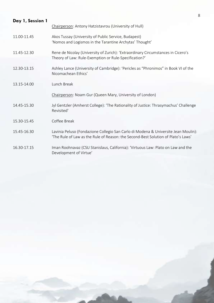<span id="page-8-0"></span>

| Day 1, Session 1 | Chairperson: Antony Hatzistavrou (University of Hull)                                                                                                                   |
|------------------|-------------------------------------------------------------------------------------------------------------------------------------------------------------------------|
| 11.00-11.45      | Akos Tussay (University of Public Service, Budapest)<br>'Nomos and Logismos in the Tarantine Archytas' Thought'                                                         |
| 11.45-12.30      | Rene de Nicolay (University of Zurich): 'Extraordinary Circumstances in Cicero's<br>Theory of Law: Rule-Exemption or Rule-Specification?'                               |
| 12.30-13.15      | Ashley Lance (University of Cambridge): 'Pericles as "Phronimos" in Book VI of the<br>Nicomachean Ethics'                                                               |
| 13.15-14.00      | Lunch Break                                                                                                                                                             |
|                  | Chairperson: Noam Gur (Queen Mary, University of London)                                                                                                                |
| 14.45-15.30      | Jyl Gentzler (Amherst College): 'The Rationality of Justice: Thrasymachus' Challenge<br>Revisited'                                                                      |
| 15.30-15.45      | Coffee Break                                                                                                                                                            |
| 15.45-16.30      | Lavinia Peluso (Fondazione Collegio San Carlo di Modena & Universite Jean Moulin):<br>'The Rule of Law as the Rule of Reason: the Second-Best Solution of Plato's Laws' |
| 16.30-17.15      | Iman Roohnavaz (CSU Stanislaus, California): 'Virtuous Law: Plato on Law and the<br>Development of Virtue'                                                              |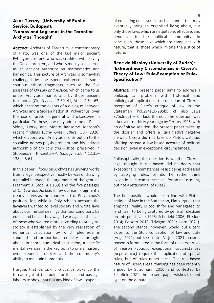#### **Akos Tussay (University of Public Service, Budapest): 'Nomos and Logismos in the Tarantine Archytas' Thought'**

Abstract: Archytas of Tarentum, a contemporary of Plato, was one of the last major ancient Pythagoreans, one who was credited with solving the Delian problem, and who is mostly considered as an ancient authority on mathematics and harmonics. This picture of Archytas is somewhat challenged by the sheer existence of some spurious ethical fragments, such as the five passages of *On Law and Justice*, which came to us under Archytas's name, and by those ancient testimonia (Cic. *Senect*. 12.39–41; Ath. 12.64–65) which describe the events of a dialogue between Archytas and a Sicilian hedonist, Polyarchus, over the use of aretē in general and dikaiosynē in particular. To these, one may add some of Phillip Sidney Horky and Monte Ransome Johnson's recent findings (*Early Greek Ethics*, OUP 2020) which elaborate on Archytas's contribution to the so-called nomos-physis problem and his indirect authorship of *On Law and Justice*, preserved in Stobaeus's fifth-century *Anthology* (Stob. 4.1.135– 138; 4.5.61).

In this paper, I focus on Archytas's surviving works from a legal perspective mostly by way of drawing a parallel between the arguments of the genuine Fragment 3 (Stob. 4.1.139) and the five passages of *On Law and Justice*. In my opinion, Fragment 3 clearly serves as the counterpart of Polyarchus's position, for, while in Polyarchus's account the lawgivers wanted to level society and wrote laws about our mutual dealings that our conditions be equal, and hence they waged war against the clan of those who wanted more, according to Archytas, society is established by the very realisation of numerical calculation by which pleonexia is subdued and proportional equality is brought about. In short, numerical calculation, a specific mental exercise, is the key both to one's mastery over pleonectic desires and the community's ability to maintain homonoia.

I argue, that *On Law and Justice* picks up the thread right at this point for its second passage labours to show that not any kind of law is capable

of educating one's soul in such a manner that may eventually bring an organised living about, but only those laws which are equitable, effective, and beneficial to the political community. In conclusion, those laws which are compliant with nature, that is, those which imitate the justice of nature.

#### **Rene de Nicolay (University of Zurich): 'Extraordinary Circumstances in Cicero's Theory of Law: Rule-Exemption or Rule-Specification?'**

Abstract: The present paper aims to address a philosophical problem with historical and philological implications: the question of Cicero's reception of Plato's critique of law in the Statesman (Pol.294a10-295b5; cf. also Laws 875c6-d2) – or lack thereof. The question was asked almost thirty years ago by Ferrary 1995, with no definitive solution; the present paper takes up the dossier and offers a (qualifiedly) negative answer: Cicero did not take up Plato's critique, offering instead a law-based account of political decision, even in exceptional circumstances.

Philosophically, the question is whether Cicero's legal thought is rule-based: did he deem that exceptional circumstances resist being addressed by applying rules, or did he rather think exceptional circumstances call for an adjustment, but not a jettisoning, of rules?

The first position would be in line with Plato's critique of law: in the Statesman, Plato argues that empirical reality is too shifty and variegated to lend itself to being captured by general rules(see on this point Lane 1995; Schofield 2006; El Murr 2014; Peixoto 2019; Trivigno 2021; Horn 2021). The second stance, however, would put Cicero closer to the Stoic conception of law and duty (Vogt 2021; but see contra Visjnic 2021): cosmic reason is formulated in the form of universal rules of reason (νόμοι); exceptional circumstances (περίστασεις) require the application of special rules, but of rules nonetheless. The rule-based nature of Cicero's legal thinking has been recently argued by Straumann 2016, and contested by Schofield 2021: the present paper wishes to shed light on the debate.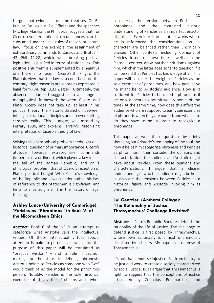I argue that evidence from the treatises (De Re Publica, De Legibus, De Officiis) and the speeches (Pro lege Manilia, the Philippics) suggests that, for Cicero, even exceptional circumstances can be subsumed under rules – rules of reason, or natural law. I focus on one example: the assignment of extraordinary commands to Cassius and Brutus in 43 (Phil. 11.28) which, while breaking positive legislation, is justified in terms of rational lex. This positive argument is supplemented by a negative one: there is no trace, in Cicero's thinking, of the Platonic view that the law is second-best; on the contrary, right reason is presented as expressed in legal form (De Rep. 3.33 Ziegler). Ultimately, this absence is due  $-1$  suggest  $-$  to a change in metaphysical framework between Cicero and Plato: Cicero does not take up, at least in his political theory, the Platonic distinction between intelligible, rational principles and an ever-shifting sensible reality. This, I argue, was missed by Ferrary 1995, and explains Ferrary's Platonizing interpretation of Cicero's theory of law.

Solving this philosophical problem sheds light on a historical question of primary importance, Cicero's attitude towards extraordinary commands (imperia extra ordinem), which played a key role in the fall of the Roman Republic; and on a philological problem, that of Cicero's reception of Plato's political thought. While Cicero's knowledge of the Republic and Laws is undoubtable, his lack of reference to the Statesman is significant, and hints to a paradigm shift in the history of legal thinking.

#### **Ashley Lance (University of Cambridge): 'Pericles as "Phronimos" in Book VI of the Nicomachean Ethics'**

Abstract: Book 6 of the NE is an attempt to categorize what Aristotle calls the intellectual virtues. Of these intellectual virtues special attention is paid to phronesis – which for the purpose of this paper will be translated as "practical wisdom"  $-$  and its role in decision making for the state. In defining phronesis, Aristotle points to Pericles as someone who "we" would think of as the model for the phronimos person. Notably, Pericles is the sole historical exemplar of this virtue. Problems arise when

considering the tension between Pericles as phronimos and the contested historic understanding of Pericles as an imperfect enactor of policies. Even in Aristotle's other works where he is referenced the considerations on his character are balanced rather than uncritically praised. Other contexts, including opinions of Pericles closer to his own time as well as in the Platonic context draw harsher criticisms against him, which in the latter goes so far to question if it can be said that Pericles has knowledge at all. This paper will consider the weight of Pericles as the sole exemplar of phronimos, and how persuasive he might be to Aristotle's audience. How is it sufficient for Pericles to be called a phronimos if he only appears to act virtuously some of the time? At the same time, how does this affect the audience who are supposed to easily see examples of phronesis when they are named, and what state do they have to be in order to recognize a phronimos?

This paper answers these questions by briefly sketching out Aristotle's remapping of the soul and how it helps him categorize phronesis and Pericles as phronimos. I then consider the opinions and characterizations the audience and Aristotle might have about Pericles. From these opinions and characterizations, I argue that a clearer understanding of who the audience might be helps us alleviate the tensions between Pericles as a historical figure and Aristotle invoking him as phronimos.

#### **Jyl Gentzler (Amherst College): 'The Rationality of Justice: Thrasymachus' Challenge Revisited'**

Abstract: In Plato's Republic, Socrates defends the rationality of the life of justice. The challenge to defend justice is first posed by Thrasymachus, whose own rationality is almost unanimously dismissed by scholars. My paper is a defense of Thrasymachus.

It's not that I endorse injustice. Far from it. I try to be just and work to create a society characterized by social justice. But I argue that Thrasymachus is right to suggest that the conceptions of justice articulated by Cephalus, Polemarchus, and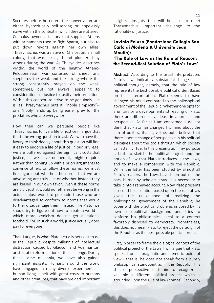Socrates before he enters the conversation are either hypocritically self-serving or hopelessly naive within the context in which they are uttered. Cephalus owned a factory that supplied Athens with armaments used to fight Sparta, but also to put down revolts against her own allies. Thrasymachus was a native of Chalcedon, a small colony, that was besieged and plundered by Athens during the war. As Thucydides describes vividly, the world of the lengthy Atheno-Peloponnesian war consisted of sheep and shepherds–the weak and the strong–where the strong consistently preyed on the weak, sometimes, but not always, appealing to considerations of justice to justify their predation. Within this context, to strive to be genuinely just is, as Thrasymachus puts it, "noble simplicity"- one "nobly" ends up being easier prey for the predators who are everywhere.

How then can we persuade people like Thrasymachus to live a life of justice? I argue that this is the wrong question to ask. We who have the luxury to think deeply about this question will find it easy to endorse a life of justice. In our privilege, we are buffered against the significant costs that justice, as we have defined it, might require. Rather than coming up with a priori arguments to convince others to follow these norms, we must first figure out whether the norms that we are advocating are truly just or whether instead they are biased in our own favor. Even if these norms are truly just, it would nonetheless be wrong in the actual unjust world to persuade those who are disadvantaged to conform to norms that would further disadvantage them. Instead, like Plato, we should try to figure out how to create a world in which moral cynicism doesn't get a rational foothold. For, in such a world, justice actually does pay for everyone.

That, I argue, is what Plato actually sets out to do in the Republic, despite millennia of intellectual distraction caused by Glaucon and Adeimantus' aristocratic reformulation of the challenge. During these same millennia, we have also gained significant insights. Humans around the world have engaged in many diverse experiments in human living, albeit with great costs to humans and other creatures, that have yielded important

insights– insights that will help us to meet Thrasymachus' important challenge to the rationality of justice.

#### **Lavinia Peluso (Fondazione Collegio San Carlo di Modena & Universite Jean Moulin):**

**'The Rule of Law as the Rule of Reason: the Second-Best Solution of Plato's** *Laws***'**

Abstract: According to the usual interpretation. Plato's Laws indicate a substantial change in his political thought, namely, that the rule of law represents the best possible political order. Based on this interpretation, Plato seems to have changed his mind compared to the philosophical government of the Republic. Whether one optsfor a unitary or a developmentalist reading of Plato, there are differences at least in approach and perspective. As far as I am concerned, I do not think that Plato has changed his mind about the aim of politics, that is, virtue, but I believe that there is some change of perspective in his political dialogues about the tools through which society can attain virtue. In this presentation, my purpose is both to sketch the political project and the notion of law that Plato introduces in the Laws, and to make a comparison with the Republic. While the latter has been studied by almost all Plato's readers, the Laws have been put on the back burner by scholars; thus, it is necessary to take it into a renewed account. Now Plato presents a second-best solution based upon the rule of law given the unlikelihood of realizing the philosophical government of the Republic; he copes with the practical problems imposed by his own sociopolitical background and tries to conform his philosophical ideal to a context favorably disposed to democracy. Nonetheless, this does not mean Plato to reject the paradigm of the Republic as the best possible political order.

First, in order to frame the dialogical context of the political project of the Laws, I will argue that Plato speaks from a pragmatic and demotic point of view - that is, he does not speak from a purely philosophical standpoint as in the Republic. This shift of perspective leads him to recognize as valuable a different political project which is grounded upon the rule of law (nomos). Secondly,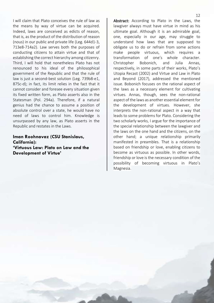I will claim that Plato conceives the rule of law as the means by way of virtue can be acquired. Indeed, laws are conceived as edicts of reason, that is, as the product of the distribution of reason (nous) in our public and private life (Leg. 644d1-3, 713e8-714a2). Law serves both the purposes of conducting citizens to attain virtue and that of establishing the correct hierarchy among citizenry. Third, I will hold that nonetheless Plato has not renounced to his ideal of the philosophical government of the Republic and that the rule of law is just a second-best solution (Leg. 739b8-e1, 875c-d); in fact, its limit relies in the fact that it cannot consider and foresee every situation given its fixed written form, as Plato asserts also in the Statesman (Pol. 294a). Therefore, if a natural genius had the chance to assume a position of absolute control over a state, he would have no need of laws to control him. Knowledge is unsurpassed by any law, as Plato asserts in the Republic and restates in the Laws.

**Iman Roohnavaz (CSU Stanislaus, California): 'Virtuous Law: Plato on Law and the Development of Virtue'**

Abstract: According to Plato in the Laws, the lawgiver always must have virtue in mind as his ultimate goal. Although it is an admirable goal, one, especially in our age, may struggle to understand how laws that are supposed to obligate us to do or refrain from some actions make people virtuous, which requires a transformation of one's whole character. Christopher Bobonich, and Julia Annas, respectively, in some parts of their works, Plato's Utopia Recast (2002) and Virtue and Law in Plato and Beyond (2017), addressed the mentioned issue. Bobonich focuses on the rational aspect of the laws as a necessary element for cultivating virtues. Annas, though, sees the non-rational aspect of the laws as another essential element for the development of virtues. However, she interprets the non-rational aspect in a way that leads to some problems for Plato. Considering the two scholarly works, I argue for the importance of the special relationship between the lawgiver and the laws on the one hand and the citizens, on the other hand; a unique relationship primarily manifested in preambles. That is a relationship based on friendship or love, enabling citizens to become as virtuous as possible. In other words, friendship or love is the necessary condition of the possibility of becoming virtuous in Plato's Magnesia.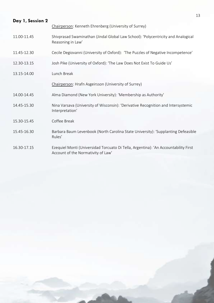<span id="page-13-0"></span>

|                  |                                                                                                                           | 13 |
|------------------|---------------------------------------------------------------------------------------------------------------------------|----|
| Day 1, Session 2 | Chairperson: Kenneth Ehrenberg (University of Surrey)                                                                     |    |
| 11.00-11.45      | Shivprasad Swaminathan (Jindal Global Law School): 'Polycentricity and Analogical<br>Reasoning in Law'                    |    |
| 11.45-12.30      | Cecile Degiovanni (University of Oxford): 'The Puzzles of Negative Incompetence'                                          |    |
| 12.30-13.15      | Josh Pike (University of Oxford): 'The Law Does Not Exist To Guide Us'                                                    |    |
| 13.15-14.00      | Lunch Break                                                                                                               |    |
|                  | Chairperson: Hrafn Asgeirsson (University of Surrey)                                                                      |    |
| 14.00-14.45      | Alma Diamond (New York University): 'Membership as Authority'                                                             |    |
| 14.45-15.30      | Nina Varsava (University of Wisconsin): 'Derivative Recognition and Intersystemic<br>Interpretation'                      |    |
| 15.30-15.45      | Coffee Break                                                                                                              |    |
| 15.45-16.30      | Barbara Baum Levenbook (North Carolina State University): 'Supplanting Defeasible<br>Rules'                               |    |
| 16.30-17.15      | Ezequiel Monti (Universidad Torcuato Di Tella, Argentina): 'An Accountability First<br>Account of the Normativity of Law' |    |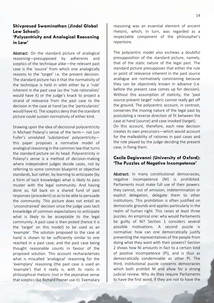#### **Shivprasad Swaminathan (Jindal Global Law School): 'Polycentricity and Analogical Reasoning in Law'**

Abstract: On the standard picture of analogical reasoning—presupposed by adherents and sceptics of the technique alike—the relevant past case is the 'source' from which one analogically reasons to the 'target' i.e. the present decision. The standard picture has it that the normativity of the technique is held in orbit either by a 'rule' inherent in the past case (as the 'rule rationalists' would have it) or the judge's knack to project a strand of relevance from the past case to the decision in the case at hand (as the 'particularists' would have it). The sceptics deny that the standard picture could sustain normativity of either kind.

Drawing upon the idea of decisional polycentricity in Michael Polanyi's sense of the term— not Lon Fuller's unrelated 'substantive' polycentricity this paper proposes a normative model of analogical reasoning in the common law that turns the standard picture on its head. Polycentricity in Polanyi's sense is a method of decision-making where independent judges decide cases, not by referring to some common blueprint or objective standards, but rather, by learning to anticipate (by a form of tacit knowledge) what is likely to pass muster with the legal community. And having done so, fall back on a shared fund of past responses (precedent) so as to be able to persuade the community. This picture does not entail an 'unconstrained' decision since the judge uses tacit knowledge of common expectations to anticipate what is likely to be acceptable to the legal community. A past case is then picked (hence it is the 'target' on this model) to be used as an 'example'. The solution proposed to the case at hand is shown to be sufficiently similar to one reached in a past case; and the past case being thought reasonable counts in favour of the proposed solution. This account recharacterizes what is miscalled 'analogical' reasoning for the 'exemplary' reasoning (the past case is used an 'example') that it really is, with its roots in philosophical rhetoric (not in the pejorative sense that sceptics like Richard Posner use it). Exemplary reasoning was an essential element of ancient rhetoric, which, in turn, was regarded as a respectable component of the philosopher's repertoire.

The polycentric model also eschews a doubtful presupposition of the standard picture, namely, that of the static nature of the legal past. The standard picture presupposes that either the rule or point of relevance inherent in the past source analogue are normatively constraining because they can be objectively known in advance (i.e. before the present case comes up for decision). Without this assumption of staticity, the 'past source-present target' rubric cannot really get off the ground. The polycentric account, in contrast, conserves the moving nature of the legal past by postulating a reverse direction of fit between the case at hand (source) and case invoked (target). On this account, therefore, each new decision creates its own precursors—which would account for the malleability of rationes in past cases and the role played by the judge deciding the present case, in fixing them.

#### **Cecile Degiovanni (University of Oxford): 'The Puzzles of Negative Incompetence'**

Abstract: In many constitutional democracies, negative incompetence (NI) is prohibited. Parliaments must make full use of their powers: they cannot, out of omission, indetermination or explicit delegation, delegate them to other institutions. This prohibition is often justified on democratic grounds and applies particularly in the realm of human right. This raises at least three puzzles. An empirical one: why would Parliaments be guilty of NI? Section 1 considers several possible motivations. A second puzzle is normative: how can one democratically justify preventing the representatives of the people from doing what they want with their powers? Section 2 shows how NI amounts in fact to a certain kind of positive incompetence (PI), and is thus as democratically condemnable as other PI. The third, institutional puzzle concerns democracies which both prohibit NI and allow for a strong judicial review. Why do they require Parliaments to have the first word, if they are not to have the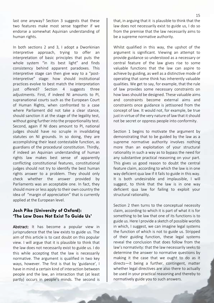last one anyway? Section 3 suggests that these two features make most sense together if we endorse a somewhat Aquinian understanding of human rights.

In both sections 2 and 3, I adopt a Dworkinian interpretive approach, trying to offer an interpretation of basic principles that puts the whole system "in its best light" and finds consistency behind apparent paradoxes. This interpretive stage can then give way to a "postinterpretive" stage: how should institutional practices evolve to best match the interpretation just offered? Section 4 suggests three adjustments. First, if indeed NI amounts to PI, supranational courts such as the European Court of Human Rights, when confronted to a case where Parliament did not take a clear stance, should sanction it at the stage of the legality test, without going further into the proportionality test. Second, again if NI does amount to PI, national judges should have no scruple in invalidating statutes on NI grounds. In so doing, they are accomplishing their least contestable function, as guardians of the procedural constitution. Thirdly, if indeed an Aquinian understanding of human rights law makes best sense of apparently conflicting constitutional features, constitutional judges should not try to identify the best human rights answer to a problem. They should only check whether the answer provided by Parliaments was an acceptable one. In fact, they should more or less apply to their own country the idea of "margin of appreciation" that is currently applied at the European level.

#### **Josh Pike (University of Oxford): 'The Law Does Not Exist To Guide Us'**

Abstract: It has become a popular view in jurisprudence that the law exists to guide us. The aim of this article is to cast doubt on this popular view. I will argue that it is plausible to think that the law does not necessarily exist to guide us. I do this while accepting that the law is necessarily normative. The argument is qualified in two key ways, however. The first is that by 'guidance', I have in mind a certain kind of interaction between people and the law, an interaction that (at least partly) occurs in people's minds. The second is

that, in arguing that it is plausible to think that the law does not necessarily exist to guide us, I do so from the premise that the law necessarily aims to be a supreme normative authority.

Whilst qualified in this way, the upshot of the argument is significant. Viewing an attempt to provide guidance so understood as a necessary or central feature of the law gives rise to some valuable functions that the law can aspire to achieve by guiding, as well as a distinctive mode of operating that some think has inherently valuable qualities. We get to say, for example, that the rule of law provides some necessary constraints on how laws should be designed. These valuable aims and constraints become external aims and constraints once guidance is jettisoned from the concept of law. It would not, for example, be true just in virtue of the very nature of law that it should not be secret or oppress people into conformity.

Section 1 begins to motivate the argument by demonstrating that to be guided by the law as a supreme normative authority involves nothing more than an exploitation of your structural rationality in such a way as to bypass the need for any substantive practical reasoning on your part. This gives us good reason to doubt the central feature claim, according to which the law is in one way deficient qua law if it fails to guide in this way. It is both undesirable and implausible, I will suggest, to think that the law is in one way deficient qua law for failing to exploit your structural rationality.

Section 2 then turns to the conceptual necessity claim, according to which it is part of what it is for something to be law that one of its functions is to guide us. Here I provide a sketch of possible worlds in which, I suggest, we can imagine legal systems the function of which is not to guide us. Stripped of their guiding function, these legal systems reveal the conclusion that does follow from the law's normativity: that the law necessarily seeks to determine the answer to normative questions by making it the case that we ought to do as it directs—it being a further, contingent, matter whether legal directives are also there to actually be used in your practical reasoning and thereby to normatively guide you to such answers.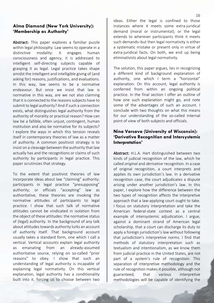#### **Alma Diamond (New York University): 'Membership as Authority'**

Abstract: This paper explores a familiar puzzle within legal philosophy. Law seems to operate in a distinctive modality: it engages human consciousness and agency, it is addressed to intelligent self-directing subjects capable of grasping it as legal. Legal practice takes shape amidst the intelligent and intelligible giving of (and asking for) reasons, justifications, and evaluations. In this way, law seems to be a normative endeavour. But once we insist that law is normative in this way, are we not also claiming that it is connected to the reasons subjects have to submit to legal authority? And if such a connection exists, what distinguishes legal authority from the authority of morality or practical reason? How can law be a fallible, often unjust, contingent, human institution and also be normative for its subjects? I explore the ways in which this tension reveals itself in contemporary theories of law as a matter of authority. A common positivist strategy is to insist on a cleavage between the authority that law actually has and the recognitions or claims of such authority by participants in legal practice. This paper scrutinizes that strategy.

To the extent that positivist theories of law incorporate ideas about law "claiming" authority; participants in legal practice "presupposing" authority; or officials "accepting" law as authoritative, these theories are invoking the normative attitudes of participants to legal practice. I show that such talk of normative attitudes cannot be vindicated in isolation from the object of these attitudes: the normative status of (legal) authority. In the background of any talk about attitudes towards authority lurks an account of authority itself. That background account usually takes a standard form, one which I call a vertical. Vertical accounts explain legal authority as emanating from an already-assumed authoritative source, relying on so-called "prior reasons" to obey. I show that such an understanding of legal authority is incapable of explaining legal normativity. On this vertical explanation, legal authority has a conditionality built into it, forcing us to choose between two

ideas. Either the legal is confined to those instances where it meets some extra-juridical demand (moral or instrumental); or the legal extends to wherever participants think it meets such demands–but then legal normativity is either a systematic mistake or present only in virtue of extra-juridical facts. On both, we end up being eliminativists about legal normativity.

The solution, this paper argues, lies in recognizing a different kind of background explanation of authority, one which I term a "horizontal" explanation. On this account, legal authority is conferred from within an ongoing political practice. In the final section I offer an outline of how one such explanation might go, and note some of the advantages of such an account. I conclude with two thoughts on what this means for our understanding of the so-called internal point of view of both subjects and officials.

#### **Nina Varsava (University of Wisconsin): 'Derivative Recognition and Intersystemic Interpretation'**

Abstract: H.L.A. Hart distinguished between two kinds of judicial recognition of the law, which he called *original* and *derivative* recognition. In a case of original recognition, a court interprets and applies its own jurisdiction's law. In a derivative recognition case, the court adjudicates a dispute arising under another jurisdiction's law. In this paper, I explore how the difference between the two types of recognition affects the interpretive approach that a law-applying court ought to take. I focus on statutory interpretation and take the American federal-state context as a central example of intersystemic adjudication. I argue, against a dominant strand of American legal scholarship, that a court can discharge its duty to apply a foreign jurisdiction's law without following that jurisdiction's interpretive norms. I find that methods of statutory interpretation such as textualism and intentionalism, as we know them from judicial practice in the United States, are not part of a system's rule of recognition. This separation of interpretive methodology and the rule of recognition makes it possible, although not guaranteed, that various interpretive methodologies will be capable of identifying the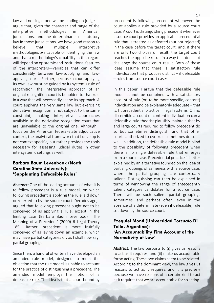law and no single one will be binding on judges. I argue that, given the character and range of the interpretive methodologies in American jurisdictions, and the determinants of statutory law in those jurisdictions, we have good reason to believe that multiple interpretive methodologies *are* capable of identifying the law and that a methodology's capability in this regard will depend on epistemic and institutional features of the interpreters—variables that can differ considerably between law-supplying and lawapplying courts. Further, because a court applying its own law must be guided by its system's rule of recognition, the interpretive approach of an original recognition court is beholden to that rule in a way that will necessarily shape its approach. A court applying the very same law but exercising derivative recognition is not subject to the same constraint, making interpretive approaches available to the derivative recognition court that are unavailable to the original one. Although I focus on the American federal-state adjudicative context, the analytical framework that I develop is not context-specific, but rather provides the tools necessary for assessing judicial duties in other intersystemic settings as well.

#### **Barbara Baum Levenbook (North Carolina State University): 'Supplanting Defeasible Rules'**

Abstract: One of the leading accounts of what it is to follow precedent is a rule model, on which following precedent is applying the rule laid down or referred to by the source court. Decades ago, I argued that following precedent ought not to be conceived of as applying a rule, except in the limiting case (Barbara Baum Levenbook, `The Meaning of a Precedent' (2000) 6 Legal Theory 185). Rather, precedent is more fruitfully conceived of as laying down an example, which may have partial categories or, as I shall now say, partial groupings.

Since then, a handful of writers have developed an amended rule model, designed to meet the objection that the rule model is unable to account for the practice of distinguishing a precedent. The amended model employs the notion of a defeasible rule. The idea is that a court bound by

precedent is following precedent whenever the court applies a rule provided by a source court case. A court is distinguishing precedent whenever a source court provides an applicable precedential rule that is treated as defeated (but not rejected) in the case before the target court; and, if there are only two choices of result, the target court reaches the opposite result in a way that does not challenge the source court result. Both of these ideas assume that there is satisfactory rule individuation that produces distinct – if defeasible – rules from source court cases.

In this paper, I argue that the defeasible rule model cannot be combined with a satisfactory account of rule (or, to be more specific, content) individuation and be explanatorily adequate – that is, fit precedential practice in legal systems. On no discernible account of content individuation can a defeasible rule theorist plausibly maintain that by and large courts required to follow precedent do so but sometimes distinguish, and that other courts authorized to overrule sometimes do so as well. In addition, the defeasible rule model is blind to the possibility of following precedent when there is no single defeasible rule that emerges from a source case. Precedential practice is better explained by an alternative founded on the idea of partial groupings of sameness with a source case, where the partial groupings are contextually salient. Distinguishing can then be explained in terms of winnowing the range of antecedently salient category candidates for a source case. There will be such salient partial groupings sometimes, and perhaps often, even in the absence of a determinate (even if defeasible) rule set down by the source court.

#### **Ezequiel Monti (Universidad Torcuato Di Tella, Argentina): 'An Accountability First Account of the Normativity of Law'**

Abstract: The law purports to (i) gives us reasons to act as it requires, and (ii) make us accountable for so acting. These two claims seem to be related. According to the dominant view, the law gives us reasons to act as it requires, and it is precisely because we have reasons of a certain kind to act as it requires that we are accountable for so acting.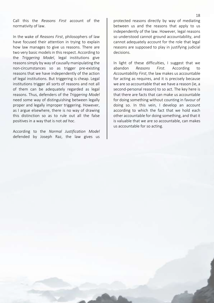Call this the *Reasons First* account of the normativity of law.

In the wake of *Reasons First*, philosophers of law have focused their attention in trying to explain how law manages to give us reasons. There are two very basic models in this respect. According to the *Triggering Model*, legal institutions give reasons simply by way of causally manipulating the non-circumstances so as trigger pre-existing reasons that we have independently of the action of legal institutions. But triggering is cheap. Legal institutions trigger all sorts of reasons and not all of them can be adequately regarded as legal reasons. Thus, defenders of the *Triggering Model* need some way of distinguishing between legally proper and legally improper triggering. However, as I argue elsewhere, there is no way of drawing this distinction so as to rule out all the false positives in a way that is not *ad hoc*.

According to the *Normal Justification Model* defended by Joseph Raz, the law gives us

protected reasons directly by way of mediating between us and the reasons that apply to us independently of the law. However, legal reasons so understood cannot ground accountability, and cannot adequately account for the role that legal reasons are supposed to play in justifying judicial decisions.

In light of these difficulties, I suggest that we abandon *Reasons First*. According to *Accountability First*, the law makes us accountable for acting as requires, and it is precisely because we are so accountable that we have a reason (ie, a second-personal reason) to so act. The key here is that there are facts that can make us accountable for doing something without counting in favour of doing so. In this vein, I develop an account according to which the fact that we hold each other accountable for doing something, and that it is valuable that we are so accountable, can makes us accountable for so acting.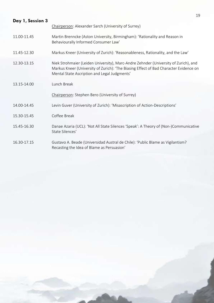<span id="page-19-0"></span>

|                  | 19                                                                                                                                                                                                                           |
|------------------|------------------------------------------------------------------------------------------------------------------------------------------------------------------------------------------------------------------------------|
| Day 1, Session 3 | Chairperson: Alexander Sarch (University of Surrey)                                                                                                                                                                          |
| 11.00-11.45      | Martin Brenncke (Aston University, Birmingham): 'Rationality and Reason in<br>Behaviourally Informed Consumer Law'                                                                                                           |
| 11.45-12.30      | Markus Kneer (University of Zurich): 'Reasonableness, Rationality, and the Law'                                                                                                                                              |
| 12.30-13.15      | Niek Strohmaier (Leiden University), Marc-Andre Zehnder (University of Zurich), and<br>Markus Kneer (University of Zurich): 'The Biasing Effect of Bad Character Evidence on<br>Mental State Ascription and Legal Judgments' |
| 13.15-14.00      | Lunch Break                                                                                                                                                                                                                  |
|                  | Chairperson: Stephen Bero (University of Surrey)                                                                                                                                                                             |
| 14.00-14.45      | Levin Guver (University of Zurich): 'Misascription of Action-Descriptions'                                                                                                                                                   |
| 15.30-15.45      | Coffee Break                                                                                                                                                                                                                 |
| 15.45-16.30      | Danae Azaria (UCL): 'Not All State Silences 'Speak': A Theory of (Non-)Communicative<br>State Silences'                                                                                                                      |
| 16.30-17.15      | Gustavo A. Beade (Universidad Austral de Chile): 'Public Blame as Vigilantism?<br>Recasting the Idea of Blame as Persuasion'                                                                                                 |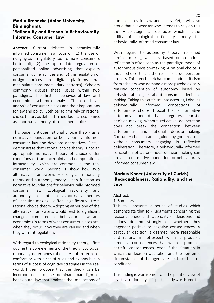#### **Martin Brenncke (Aston University, Birmingham): 'Rationality and Reason in Behaviourally Informed Consumer Law'**

Abstract: Current debates in behaviourally informed consumer law focus on (1) the use of nudging as a regulatory tool to make consumers better off, (2) the appropriate regulation of personalised online advertising that exploits consumer vulnerabilities and (3) the regulation of design choices on digital platforms that manipulate consumers (dark patterns). Scholars commonly discuss these issues within two paradigms. The first is behavioural law and economics as a frame of analysis. The second is an analysis of consumer biases and their implications for law and policy. Both paradigms rely on rational choice theory as defined in neoclassical economics as a normative theory of consumer choice.

This paper critiques rational choice theory as a normative foundation for behaviourally informed consumer law and develops alternatives. First, I demonstrate that rational choice theory is not an appropriate normative theory of choice under conditions of true uncertainty and computational intractability, which are common in the real consumer world. Second, I show how two alternative frameworks – ecological rationality theory and autonomy theory  $-$  can function as normative foundations for behaviourally informed consumer law. Ecological rationality and autonomy, if conceptualised as normative theories of decision-making, differ significantly from rational choice theory. Adopting either one of the alternative frameworks would lead to significant changes (compared to behavioural law and economics) in terms of what consumer biases are, when they occur, how they are caused and when they warrant regulation.

With regard to ecological rationality theory, I first outline the core elements of the theory. Ecological rationality determines rationality not in terms of conformity with a set of rules and axioms but in terms of success of cognitive strategies in the real world. I then propose that the theory can be incorporated into the dominant paradigm of behavioural law that analyses the implications of

human biases for law and policy. Yet, I will also argue that a lawmaker who intends to rely on this theory faces significant obstacles, which limit the utility of ecological rationality theory for behaviourally informed consumer law.

With regard to autonomy theory, reasoned decision-making which is based on conscious reflection is often seen as the paradigm model of autonomous decision-making. A rational choice is thus a choice that is the result of a deliberation process. This benchmark has come under criticism from scholars who demand a more psychologically realistic conception of autonomy based on behavioural insights about consumer decisionmaking. Taking this criticism into account, I discuss behaviourally informed conceptions of autonomous choice. I posit that a normative autonomy standard that integrates heuristic decision-making without reflective deliberation does not break the connection between autonomous and rational decision-making. Consumer choices can be guided by good reasons without consumers engaging in reflective deliberation. Therefore, a behaviourally informed conception of autonomous decision-making can provide a normative foundation for behaviourally informed consumer law.

#### **Markus Kneer (University of Zurich): 'Reasonableness, Rationality, and the Law'**

#### Abstract:

#### 1. Summary

This talk presents a series of studies which demonstrate that folk judgments concerning the reasonableness and rationality of decisions and actions depend strongly on whether they engender positive or negative consequences. A particular decision is deemed more reasonable and rational in retrospect when it produces beneficial consequences than when it produces harmful consequences, even if the situation in which the decision was taken and the epistemic circumstances of the agent are held fixed across conditions.

This finding is worrisome from the point of view of practical rationality. It is particularly worrisome for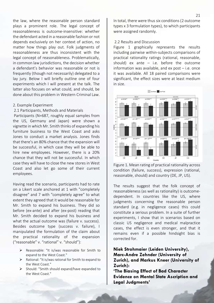the law, where the reasonable person standard plays a prominent role. The legal concept of reasonableness is outcome-insensitive: whether the defendant acted in a reasonable fashion or not depends exclusively on her context of action, no matter how things play out. Folk judgments of reasonableness are thus inconsistent with the legal concept of reasonableness. Problematically, in common law jurisdictions, the decision whether a defendant's behavior was reasonable or not is frequently (though not necessarily) delegated to a lay jury. Below I will briefly outline one of four experiments which I will present at the talk. The latter also focuses on what could, and should, be done about this problem in Western Criminal Law.

#### 2. Example Experiment

#### 2.1 Participants, Methods and Materials

Participants (N=687, roughly equal samples from the US, Germany and Japan) were shown a vignette in which Mr. Smith thinks of expanding his furniture business to the West Coast and asks Jones to conduct a market analysis. Jones finds that there's an 80% chance that the expansion will be successful, in which case they will be able to hire new employees. However, there is a 20% chance that they will not be successful. In which case they will have to close the new stores in West Coast and also let go some of their current employees.

Having read the scenario, participants had to rate on a Likert scale anchored at 1 with "completely disagree" and 7 with "completely agree" to what extent they agreed that it would be reasonable for Mr. Smith to expand his business. They did so before (ex-ante) and after (ex-post) reading that Mr. Smith decided to expand his business and what the actual outcome was (failure v. success). Besides outcome type (success v. failure), I manipulated the formulation of the claim about the practical rationality of the expansion ("reasonable" v. "rational" v. "should"):

- $\triangleright$  Reasonable: "It is/was reasonable for Smith to expand to the West Coast."
- $\triangleright$  Rational: "It is/was rational for Smith to expand to the West Coast."
- Ø Should: "Smith should expand/have expanded to the West Coast."

In total, there were thus six conditions (2 outcome types x 3 formulation types), to which participants were assigned randomly.

#### 2.2 Results and Discussion

Figure 1 graphically represents the results including pairwise within-subjects comparisons of practical rationality ratings (rational, reasonable, should) ex ante  $-$  i.e. before the outcome information was available, and  $ex$  post  $-$  i.e. once it was available. All 18 paired comparisons were significant, the effect sizes were at least medium in size.



Figure 1. Mean rating of practical rationality across condition (failure, success), expression (rational, reasonable, should) and country (DE, JP, US).

The results suggest that the folk concept of reasonableness (as well as rationality) is outcomedependent. In countries like the US, where judgments concerning the reasonable person standard (e.g. in negligence cases) this could constitute a serious problem. In a suite of further experiments, I show that in scenarios based on classic US negligence and medical malpractice cases, the effect is even stronger, and that it remains even if a possible hindsight bias is corrected for.

**Niek Strohmaier (Leiden University), Marc-Andre Zehnder (University of Zurich), and Markus Kneer (University of Zurich):**

**'The Biasing Effect of Bad Character Evidence on Mental State Ascription and Legal Judgments'**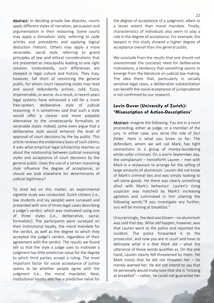Abstract: In deciding private law disputes, courts apply different styles of narration, persuasion and argumentation in their reasoning. Some courts may apply a formalistic style, referring to code articles and precedents and applying logical deduction rhetoric. Others may apply a more venerable, sacral style, referring to grand principles of law and ethical considerations that are presented as inescapably leading to one right solution. Undoubtedly, such differences are steeped in legal culture and history. They may, however, fall short of convincing the general public, for whom court reasoning styles may read and sound redundantly archaic, cold, fuzzy, impenetrable, or worse. As a result, in recent years legal systems have witnessed a call for a more free-spoken, deliberative style of judicial reasoning. It is sometimes said that such a style would offer a clearer and more palpable alternative to the unnecessarily formalistic or venerable styles. Indeed, some even argue that a deliberative style would enhance the level of approval of court decisions by the lay public. This article reviews the evidentiary basis of such claims; it asks what empirical legal scholarship teaches us about the relationship between judicial reasoning styles and acceptance of court decisions by the general public. Does the use of a certain reasoning style influence the degree of acceptance, or should we look elsewhere for determinants of judicial legitimacy?

To shed led on this matter, an experimental vignette study was conducted. Dutch citizens (i.e., law students and lay people) were surveyed and presented with one of three legal cases describing a judge's verdict, which was motivated using one of three styles (i.e., deliberative, sacral, formalistic). The participants were surveyed on their institutional loyalty, the moral mandate for the verdict, as well as the degree to which they accepted the judge's verdict, regardless of their agreement with the verdict. The results we found tell us that the style a judge uses to motivate a judgment has little predictive value for the degree to which third parties accept a ruling. The most important factor for social acceptance of justice seems to be whether people agree with the judgment (i.e., the moral mandate). Next, institutional loyalty also has a predictive value for

the degree of acceptance of a judgment, albeit to a lesser extent than moral mandate. Finally, characteristics of individuals also seem to play a role in the degree of acceptance. For example, the lawyers in this study showed a higher degree of acceptance overall than the general public.

We conclude from the results that one should not overestimate the (societal) need for deliberative motivations, a tendency that something seems to emerge from the literature on judicial law making. The idea there that, particularly in socially sensitive legal cases, a deliberative substantiation can benefit the social acceptance of jurisprudence is not confirmed by our research.

#### **Levin Guver (University of Zurich): 'Misascription of Action-Descriptions'**

Abstract: Imagine the following. You are in a court proceeding, either as judge, or a member of the jury. In either case, you serve the role of *fact finder*. Here is what you know so far: The defendant, whom we will call Mark, has tight connections to a group of money-laundering white-collar criminals. On a warm September day, the complainant – henceforth Lauren – met with Mark in a restaurant to arrange for the selling of large amounts of aluminium. Lauren did not know of Mark's criminal ties and was simply looking to sell some goods. Yet there was clearly something afoul with Mark's behaviour. Lauren's rising suspicion was matched by Mark's increasing agitation and culminated in him uttering the following words:"If you investigate any further, you will be missing at breakfast."

Unsurprisingly, the deal was blown – no aluminium was sold that day. What *did* happen, however, was that Lauren went to the police and reported the incident. The police forwarded it to the prosecutor, and now you are in court and have to delineate *what it is that Mark did* – what the utterance of those words qualifies as. On the one hand, Lauren clearly felt threatened by them. Yet Mark insists that he did not threaten her – he merely *warned* her. He did not intend to say that *he personally* would make sure that she is "missing at breakfast" – rather, he could not guarantee her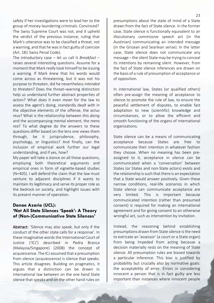safety if her investigations were to lead her to the group of money-laundering criminals. Convinced? The Swiss Supreme Court was not, and it upheld the verdict of the previous instance, ruling that Mark's utterance was to be classified a threat, not a warning, and that he was in fact guilty of *coercion* (Art. 181 Swiss Penal Code).

The introductory case – let us call it *Breakfast* – raises several interesting questions. Assume for a moment that Mark *really* took himself to be issuing a warning. If Mark *knew* that his words would come across as threatening, but it was not his purpose to threaten, did he nevertheless *intended to threaten*? Does the threat–warning distinction help us understand further abstract properties of action? What does it even *mean* for the law to assess the agent's doing, standardly dealt with in the objective elements of the offense, the *actus reus*? What is the relationship between this *doing*  and the accompanying mental element, the *mens rea*? To what degree do the answers to these questions differ based on the lens one views them through, be it jurisprudence, philosophy, psychology, or linguistics? And finally, can the inclusion of empirical work further our legal understanding, and if yes, how?

My paper will take a stance on all these questions, employing both theoretical arguments and empirical ones in form of vignette-based studies (N=405). I will defend the claim that the law must venture to adjacent disciplines if it wants to maintain its legitimacy and serve its proper role as the bedrock on society, and highlight issues with its present manner of operation.

#### **Danae Azaria (UCL): 'Not All State Silences 'Speak': A Theory of (Non-)Communicative State Silences'**

Abstract: 'Silence may also speak, but only if the conduct of the other state calls for a response'. In these imaginative words the International Court of Justice ('ICJ') described in Pedra Branca (Malaysia/Singapore) (2008) the concept of acquiescence. The ICJ assumed that a presumption from silence (acquiescence) is silence that speaks. This article disagrees. Building on pragmatics, it argues that a distinction can be drawn in international law between on the one hand State silence that speaks and on the other hand rules on

presumptions about the state of mind of a State drawn from the fact of State silence. In the former case, State silence is functionally equivalent to an illocutionary commissive speech act (in the Austinian) communicating an intended message (in the Gricean and Searlean sense). In the latter case, State silence does not communicate any message – the silent State may be trying to conceal its intentions by remaining silent. However, from the fact of State silence inferences are drawn on the basis of a rule of presumption of acceptance or of opposition.

In international law, States (or qualified others) often pre-assign the meaning of acceptance to silence to promote the rule of law, to ensure the peaceful settlement of disputes, to enable fast adaptation to new (scientific) knowledge and circumstances, or to allow the efficient and smooth functioning of the organs of international organizations.

State silence can be a means of communicating acceptance because States are free to communicate their intention in whatever fashion they choose. When no meaning has been preassigned to it, acceptance in silence can be communicated when a 'conversation' between States (or States and non-State actors) exists and the relationship is such that there is an expectation that a State would answer positively. Given these narrow conditions, real-life scenarios in which State silence can communicate acceptance are very limited. This is important because communicated intention (rather than presumed consent) is required for making an international agreement and for giving consent to an otherwise wrongful act, such as intervention by invitation.

Instead, the reasoning behind establishing presumptions drawn from State silence is the need to extricate an 'assessor' (a court or a State organ) from being impeded from acting because a decision materially rests on the meaning of State silence. All presumption rules are biased towards a particular inference. This bias is justified by probability but crucially also by normative goals: the acceptability of error. Errors in considering innocent a person that is in fact guilty are less important than instances where innocent people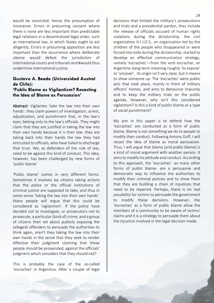would be convicted; hence the presumption of innocence. Errors in presuming consent where there is none are less important than predictable legal relations in a decentralized legal order, such as international law, in which States ought to act diligently. Errors in presuming opposition are less important than the occurrence where deliberate silence would defeat the jurisdiction of international courts and tribunals and #would thus undermine international justice.

#### **Gustavo A. Beade (Universidad Austral de Chile): 'Public Blame as Vigilantism? Recasting the Idea of Blame as Persuasion'**

Abstract: Vigilantes 'take the law into their own hands': they claim powers of investigation, arrest, adjudication, and punishment that, in the law's eyes, belong only to the law's officials. They might claim that they are justified in taking the law into their own hands because it is their law: they are taking back into their hands the law they had entrusted to officials, who have failed to discharge that trust. We, as defenders of the rule of law, need to be against this kind of conduct. This idea, however, has been challenged by new forms of 'public blame'

'Public blame' comes in very different forms. Sometimes it involves lay citizens taking actions that the police or the official institutions of criminal justice are supposed to take, and thus in some sense 'taking the law into their own hands'. Many people will argue that this could be considered as 'vigilantism'. If the police have decided not to investigate, or prosecutors not to prosecute, a particular (kind of) crime, and a group of citizens then set about publicly exposing the (alleged) offenders to persuade the authorities to think again, aren't they taking the law into their own hands in the sense that they seek to render effective their judgment claiming that these people should be prosecuted, against the officials' judgment which considers that they should not?

This is probably the case of the so-called 'escraches' in Argentina. After a couple of legal

decisions that limited the military's prosecutions and trials and a presidential pardon, they include the release of officials accused of human rights violations during the dictatorship, the civil organization H.I.J.O.S., an organization led by the children of the people who disappeared or were forced into exile during the dictatorship, started to develop an effective communication strategy, namely 'escraches'—from the verb escrachar, an Argentine slang term meaning roughly 'to expose' or 'uncover'. Its origin isn't very clear, but it means to show someone up. The 'escraches' were public acts that took place, mainly in front of military officers' homes, and aims to denounce impunity and to keep the military trials on the public agenda. However, why isn't this considered vigilantism? Is this a kind of public blame or a type of social punishment?

My aim in this paper is to defend how the 'escraches' are conducted as a form of public blame. Blame is not something we do to people to modify their conduct. Following Antony Duff, I will recast the idea of blame as moral persuasion. Thus, I will argue that blame (and public blame) is a kind of moral argument with another person. It aims to modify his attitude and conduct. According to this approach, the 'escraches' -as many other forms of public blame- are a persuasive and democratic way to influence the authorities to modify their criminal policies and to show them that they are building a chain of injustices that need to be repaired. Perhaps, there is no real possibility for victims to persuade the government to modify these decisions. However, the 'escraches' as a form of public blame allow the members of a community to be aware of victims' claims and it is a strategy to persuade them about the injustice involved in the legal decision made.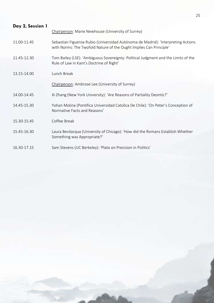<span id="page-25-0"></span>

| Day 2, Session 1 |                                                                                                                                                        |
|------------------|--------------------------------------------------------------------------------------------------------------------------------------------------------|
|                  | Chairperson: Marie Newhouse (University of Surrey)                                                                                                     |
| 11.00-11.45      | Sebastian Figueroa Rubio (Universidad Autónoma de Madrid): 'Interpreting Actions<br>with Norms: The Twofold Nature of the Ought Implies Can Principle' |
| 11.45-12.30      | Tom Bailey (LSE): 'Ambiguous Sovereignty: Political Judgment and the Limits of the<br>Rule of Law in Kant's Doctrine of Right'                         |
| 13.15-14.00      | Lunch Break                                                                                                                                            |
|                  | Chairperson: Ambrose Lee (University of Surrey)                                                                                                        |
| 14.00-14.45      | Xi Zhang (New York University): 'Are Reasons of Partiality Deontic?'                                                                                   |
| 14.45-15.30      | Yohan Molina (Pontifica Universidad Catolica De Chile): 'On Peter's Conception of<br>Normative Facts and Reasons'                                      |
| 15.30-15.45      | Coffee Break                                                                                                                                           |
| 15.45-16.30      | Laura Bevilacqua (University of Chicago): 'How did the Romans Establish Whether<br>Something was Appropriate?'                                         |
|                  |                                                                                                                                                        |
| 16.30-17.15      | Sam Stevens (UC Berkeley): 'Plato on Precision in Politics'                                                                                            |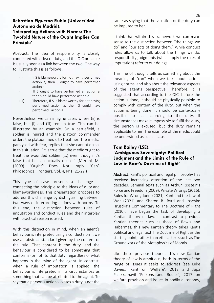#### **Sebastian Figueroa Rubio (Universidad Autónoma de Madrid): 'Interpreting Actions with Norms: The Twofold Nature of the Ought Implies Can Principle'**

Abstract: The idea of responsibility is closely connected with idea of duty, and the OIC principle is usually seen as a link between the two. One way to illustrate this is as follows:

- (i) If S is blameworthy for not having performed action a, then S ought to have performed action a
- (ii) If S ought to have performed an action a, then S could have performed action a
- (iii) Therefore, if S is blameworthy for not having performed action a, then S could have performed action a

Nevertheless, we can imagine cases where (ii) is false, but (i) and (iii) remain true. This can be illustrated by an example. On a battlefield, a soldier is injured and the platoon commander orders the platoon medic to treat her. The medic, paralysed with fear, replies that she cannot do so. In this situation, "it is true that the medic ought to treat the wounded soldier (...) even though it's false that he can actually do so." (Mizrahi, M. (2009) "Ought" Does Not Imply "Can" Philosophical Frontiers, Vol. 4, N°1: 21-22.)

This type of case presents a challenge in connecting the principle to the ideas of duty and blameworthiness. This presentation proposes to address this challenge by distinguishing between two ways of interpreting actions with norms. To this end, the distinction between rules of imputation and conduct rules and their interplay with practical reason is used.

With this distinction in mind, when an agent's behaviour is interpreted using a conduct norm, we use an abstract standard given by the content of the rule. That content is the duty, and the behaviour is considered to be something that conforms (or not) to that duty, regardless of what happens in the mind of the agent. In contrast, when a rule of imputation is applied, the behaviour is interpreted in its circumstances as something that can be attributed to the agent. To say that a person's action violates a duty is not the

same as saying that the violation of the duty can be imputed to her.

I think that within this framework we can make sense to the distinction between "the things we do" and "our acts of doing them." While conduct rules allow us to talk about the things we do, responsibility judgments (which apply the rules of imputation) refer to our doings.

This line of thought tells us something about the meaning of "can" when we talk about actions using norms, and also about the relevance aspects of the agent's perspective. Therefore, it is suggested that according to the OIC, before the action is done, it should be physically possible to comply with content of the duty, but when the action is being done, it should be contextually possible to act according to the duty. If circumstances make it impossible to fulfil the duty, the person is excused, but the duty remains applicable to her. The example of the medic could be understood as such a case.

#### **Tom Bailey (LSE): 'Ambiguous Sovereignty: Political Judgment and the Limits of the Rule of Law in Kant's Doctrine of Right'**

Abstract: Kant's political and legal philosophy has received increasing attention of the last two decades. Seminal texts such as Arthur Ripstein's Force and Freedom (2009), Private Wrongs (2016), Rules for Wrongdoers (2021), Kant and the Law of War (2021) and Sharon B. Byrd and Joachim Hruscka's Commentary to The Doctrine of Right (2010), have begun the task of developing a Kantian theory of law. In contrast to previous Kantian theories such as those of Rawls and Habermas, this new Kantian theory takes Kant's political and legal text The Doctrine of Right as the starting point, rather than ethical texts such as The Groundwork of the Metaphysics of Morals.

Like those previous theories this new Kantian theory of law is ambitious, both in terms of the range of issues it seeks to address (see Luke Davies, 'Kant on Welfare', 2018 and Japa Pallikkathayil 'Persons and Bodies', 2017 on welfare provision and issues in bodily autonomy,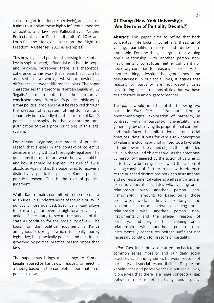such as organ donation, respectively), and because it aims to supplant those highly influential theories of politics and law (see Pallikkathayil, 'Neither Perfectionism nor Political Liberalism', 2016 and Louis-Philippe Hodgson, 'Kant on the Right to Freedom: A Defense', 2010 as examples).

This new legal and political theorising in a Kantian key is sophisticated, influential and bold in scope and purpose. Moreover, there is a theoretical coherence to this work that means that it can be assessed as a whole, whilst acknowledging differences between different scholars. The paper characterises this theory as 'Kantian Legalism'. By 'legalist' I mean both that the substantive conclusion drawn from Kant's political philosophy is that political problems must be resolved through the creation of a system of rightful law, and separately but relatedly that the purpose of Kant's political philosophy is the elaboration and justification of the a priori principles of this legal system.

For Kantian Legalism, the model of practical reason that applies in the context of collective decision making is thus a thoroughly legal one. The questions that matter are what the law should be and how it should be applied. The rule of law is absolute. Against this, the paper aims to recover a distinctively political aspect of Kant's political practical reason. This is the role of political judgment.

Whilst Kant remains committed to the rule of law as an ideal, his understanding of the role of law in politics is more nuanced. Specifically, Kant allows for extra-legal or even straightforwardly illegal actions if necessary to secure the survival of the state as condition for the possibility of law. The locus for this political judgment is Kant's ambiguous sovereign, which is ideally purely legislative, but practically political and decisionist, governed by political practical reason rather than law.

The paper thus brings a challenge to Kantian Legalism based on Kant's own reasons for rejecting a theory based on the complete subordination of politics to law.

#### **Xi Zhang (New York University): 'Are Reasons of Partiality Deontic?'**

Abstract: This paper aims to refute that both conceptual interlocks in Scheffler's thesis as of valuing, partiality, reasons, and duties are untenable. For one thing, it argues that valuing one's relationship with another person noninstrumentally constitutes neither sufficient nor necessary condition for reasons of partiality. For another thing, despite the genuineness and pervasiveness in our social lives, it argues that reasons of partiality are not deontic ones constituting special responsibilities that we have to undertake in an obligatory manner.

This paper would unfold as of the following two parts. In *Part One*, it first starts from a phenomenological exploration of partiality, in contrast with impartiality, universality and generality, by observing its propositional contents and multi-faceted manifestations in our social practices. Next, it puts forward a folk conception of valuing, including but not limited to, a favorable attitude towards the valued object, the embedded value in the valued object as well as the emotional vulnerability triggered by the action of valuing so as to have a better grasp of what the action of valuing consists of. Further to this, with reference to the nuanced distinctions between instrumental and non-instrumental value as well as intrinsic and extrinsic value, it elucidates what valuing one's relationship with another person *noninstrumentally* amounts to. Based on all those preparatory work, it finally disentangles the conceptual interlock between valuing one's relationship with another person noninstrumentally and the alleged reasons of partiality, and argues that valuing one's relationship with another person noninstrumentally constitutes neither sufficient nor necessary condition for reasons of partiality.

In *Part Two*, it first draws our attention back to the common sense morality and our daily social practices as of the dynamics between reasons of partiality and special responsibilities. Despite the genuineness and pervasiveness in our social lives, it observes that there is a huge conceptual gap between reasons of partiality and special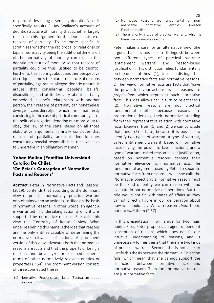responsibilities being essentially deontic. Next, it specifically revisits R. Jay Wallace's account of deontic structure of morality that Scheffler largely relies on in his argument for the deontic nature of reasons of partiality. To be more specific, it scrutinizes whether the reciprocal or relational or bipolar normativity being the additional dimension of the normativity of morality can explain the deontic structure of morality so that reasons of partiality could be thus justified to be deontic. Further to this, it brings about another perspective of critique, namely the pluralism nature of reasons of partiality, against its alleged deontic nature. It argues that considering people's beliefs, dispositions, and attitudes vary about partiality embedded in one's relationship with another person, their reasons of partiality can nonetheless diverge considerably, which is manifestly convincing in the case of political community as of the political obligation denoting our moral duty to obey the law of the state. Based on all those elaborative arguments, it finally concludes that reasons of partiality are not deontic ones constituting special responsibilities that we have to undertake in an obligatory manner.

#### **Yohan Molina (Pontifica Universidad Catolica De Chile): 'On Peter's Conception of Normative Facts and Reasons'**

Abstract: Peter in 'Normative Facts and Reasons' (2019), contends that according to the dominant view of practical normativity, practical warrant only obtains when an action is justified on the basis of normative reasons. In other words, an agent A is warranted in undertaking action  $\phi$  only if  $\phi$  is supported by normative reasons. She calls this view the 'Centrality of Reasons' view. What underlies behind this name is the idea that reasons are the only entities capable of determining the normative relevance of actions. A prominent version of this view advocates both that normative reasons are *facts* and that the property of being a reason cannot be analyzed or explained further in terms of other normatively relevant entities or properties (P.54). The prominent version consists of three connected theses:

(1) Normative Reasons are facts (Factualism about reasons).

- (2) Normative Reasons are fundamental or nonanalyzable normative entities (Reason Fundamentalism).
- (3) There is only a type of practical warrant, which is based on normative reasons.

Peter makes a case for an alternative view. She argues that it is possible to distinguish between two different types of practical warrant: 'entitlement warrant' and 'reason-based justification'. This distinction relies fundamentally on the denial of thesis (1), since she distinguishes between normative facts and normative reasons. On her view, normative facts are facts that 'have the power to favour actions', while reasons are *propositions* which represent such normative facts. This idea allows her in turn to reject thesis (2). Normative reasons are not practical fundamental entities because reasons are propositions deriving their normative standing from their representative relation with normative facts. Likewise, from (1) and (2) we can conclude that thesis (3) is false, because it is possible to identify two types of warrant: a type of warrant, called entitlement warrant, based on normative facts having the power to favour actions; and a type of warrant, called reason-based justification, based on normative reasons deriving their normative relevance from normative facts. The fundamental argument used by Peter to separate normative facts from reasons is what she calls the 'Normative objection': a normative reason must be the kind of entity we can reason with and evaluate in our normative deliberations. But this role would not fit with states of affairs as they cannot directly figure in our deliberation about how we should act. We can reason *about* them, but not *with* them (P.57).

In this presentation, I will argue for two main points. First, Peter proposes an agent-dependent conception of reasons which does not fit our intuitive understanding of reasons, and is unnecessary for her thesis that there are two kinds of practical warrant. Second, she is not able to justify this thesis because the Normative Objection fails, which mean that she cannot support the distinction between normative facts and normative reasons. Therefore, normative reasons are just normative facts.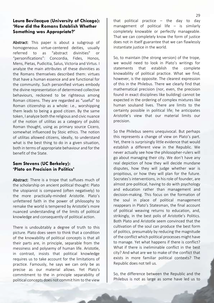#### **Laura Bevilacqua (University of Chicago): 'How did the Romans Establish Whether Something was Appropriate?'**

Abstract: This paper is about a subgroup of homogeneous virtue-centered deities, usually referred to as "abstract divinities" or "personifications": Concordia, Fides, Honos, Mens, Pietas, Pudicitia, Salus, Victoria and Virtus. I analyze the main attributes of these divinities as the Romans themselves described them: virtues that have a human essence and are functional for the community. Such personified virtues embody the divine representation of determined collective behaviours, reckoned to be righteous among Roman citizens. They are regarded as "useful" to Roman citizenship as a whole: i.e., worshipping them leads to being a good citizen. By the same token, I analyze both the religious and civic nuance of the notion of utilitas as a category of public Roman thought, using as primary source Cicero, somewhat influenced by Stoic ethics. The notion of utilitas allowed citizens, ideally, to understand what is the best thing to do in a given situation, both in terms of appropriate behaviour and for the benefit of the State.

#### **Sam Stevens (UC Berkeley): 'Plato on Precision in Politics'**

Abstract: There is a trope that suffuses much of the scholarship on ancient political thought: Plato the utopianist is compared (often negatively) to the more practically-minded Aristotle. Plato's unfettered faith in the power of philosophy to remake the world is tempered by Aristotle's more nuanced understanding of the limits of political knowledge and consequently of political action.

There is undoubtably a degree of truth to this picture. Plato does seem to think that a condition of the knowability of political concepts is that all their parts are, in principle, separable from the messiness and polysemy of human life. Aristotle, in contrast, insists that political knowledge requires us to take account for the limitations of practice. Famously, he says we can only be as precise as our material allows. Yet Plato's commitment to the in principle separability of political concepts does not commit him to the view

that political practice  $-$  the day to day management of political life – is similarly completely knowable or perfectly manageable. That we can completely know the form of justice does not in itself guarantee that we can flawlessly instantiate justice in the world.

So, to maintain (the strong version) of the trope, we would need to look in Plato's writings for statements that establish the complete knowability of political practice. What we find, however, is the opposite. The clearest expression of this in the Philebus. There we clearly find that mathematical precision (nor, even, the precision found in exact disciplines like building) cannot be expected in the ordering of complex mixtures like human soulsand lives. There are limits to the certainty possible in political life; he anticipates Aristotle's view that our material limits our precision.

So the Philebus seems unequivocal. But perhaps this represents a change of view on Plato's part. Yet, there is surprisingly little evidence that would establish a different view in the Republic. We never actually see how the philosopher-rulers will go about managing their city. We don't have any real depiction of how they will decide mundane disputes, how they will judge whether war is propitious, or how they will plan for the future. Socrates's interventions, in his role of founder, are almost pre-political, having to do with psychology and education rather than management and decision-making. This focus on the formation of the soul in place of political management reappears in Plato's Statesman, the final account of political weaving returns to education, and, strikingly, in the best polis of Aristotle's Politics. Both Plato and Aristotle seem convinced that the cultivation of the soul can produce the best form of politics, presumably by reducing the magnitude of the conflict which political processes might have to manage. Yet what happens if there is conflict? What if there is ineliminable conflict in the best city? And what are we to make of the conflict that exists in more familiar political contexts? The Republic does not tell us.

So, the difference between the Republic and the Philebus is not as large as some have led us to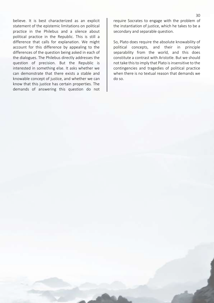believe. It is best characterized as an explicit statement of the epistemic limitations on political practice in the Philebus and a silence about political practice in the Republic. This is still a difference that calls for explanation. We might account for this difference by appealing to the differences of the question being asked in each of the dialogues. The Philebus directly addresses the question of precision. But the Republic is interested in something else. It asks whether we can demonstrate that there exists a stable and knowable concept of justice, and whether we can know that this justice has certain properties. The demands of answering this question do not

require Socrates to engage with the problem of the instantiation of justice, which he takes to be a secondary and separable question.

So, Plato does require the absolute knowability of political concepts, and their in principle separability from the world, and this does constitute a contrast with Aristotle. But we should not take this to imply that Plato is insensitive to the contingencies and tragedies of political practice when there is no textual reason that demands we do so.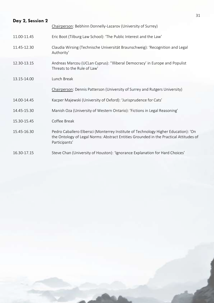<span id="page-31-0"></span>

| Day 2, Session 2 | Chairperson: Bebhinn Donnelly-Lazarov (University of Surrey)                                                                                                                                 |
|------------------|----------------------------------------------------------------------------------------------------------------------------------------------------------------------------------------------|
| 11.00-11.45      | Eric Boot (Tilburg Law School): 'The Public Interest and the Law'                                                                                                                            |
| 11.45-12.30      | Claudia Wirsing (Technische Universität Braunschweig): 'Recognition and Legal<br>Authority'                                                                                                  |
| 12.30-13.15      | Andreas Marcou (UCLan Cyprus): "Illiberal Democracy' in Europe and Populist<br>Threats to the Rule of Law'                                                                                   |
| 13.15-14.00      | Lunch Break                                                                                                                                                                                  |
|                  | Chairperson: Dennis Patterson (University of Surrey and Rutgers University)                                                                                                                  |
| 14.00-14.45      | Kacper Majewski (University of Oxford): 'Jurisprudence for Cats'                                                                                                                             |
| 14.45-15.30      | Manish Oza (University of Western Ontario): 'Fictions in Legal Reasoning'                                                                                                                    |
| 15.30-15.45      | Coffee Break                                                                                                                                                                                 |
| 15.45-16.30      | Pedro Caballero Elbersci (Monterrey Institute of Technology Higher Education): 'On<br>the Ontology of Legal Norms: Abstract Entities Grounded in the Practical Attitudes of<br>Participants' |
| 16.30-17.15      | Steve Chan (University of Houston): 'Ignorance Explanation for Hard Choices'                                                                                                                 |

31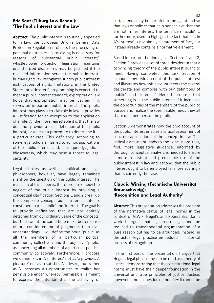#### **Eric Boot (Tilburg Law School): 'The Public Interest and the Law'**

Abstract: The public interest is routinely appealed to in law: the European Union's General Data Protection Regulation prohibits the processing of personal data unless "processing is necessary for reasons of substantial public interest;" whistleblower protection legislation maintains unauthorized disclosures may be justified if the revealed information serves the public interest; human rights law recognizes sundry public interest justifications of rights limitations; in the United States, broadcasters' programming is expected to meet a public interest standard; expropriation law holds that expropriation may be justified if it serves an important public interest. The public interest thus plays a crucial role in law: it provides a justification for an exception to the application of a rule. All the more regrettable it is that the law does not provide a clear definition of the public interest, or at least a procedure to determine it in a particular case. This deficiency, according to some legal scholars, has led to ad hoc applications of the public interest and, consequently, judicial idiosyncrasy, which may pose a threat to legal certainty.

Legal scholars as well as political and legal philosophers, however, have largely remained silent on the question of the public interest. The main aim of this paper is, therefore, to remedy the neglect of the public interest by providing a conceptual clarification. Sections 1 and 2 break up the composite concept 'public interest' into its constituent parts 'public' and 'interest.' The goal is to provide definitions that are not entirely detached from our ordinary usage of the concepts, but that can at the same time make better sense of our considered moral judgments than rival understandings. I will define the noun 'public' as all the members of a particular political community collectively and the adjective 'public' as concerning all members of a particular political community collectively. Furthermore, I propose we define 'x is in A's interest' not as 'x provides A pleasure' nor as 'x satisfies A's desire,' but rather as 'x increases A's opportunities to realize her permissible ends,' whereby 'permissible' is meant to express the intuition that the achieving of

certain ends may be harmful to the agent and so that laws or policies that help her achieve that end are not in her interest. The term 'permissible' is, furthermore, used to highlight the fact that 'x is in A's interest' is not simply a statement of fact, but instead already contains a normative element.

Based in part on the findings of Sections 1 and 2, Section 3 provides a set of three desiderata that a convincing theory of the public interest ought to meet. Having completed this task, Section 4 expounds my civic account of the public interest and illustrates how this account meets the several desiderata and complies with our definitions of 'public' and 'interest.' Here I propose that something is in the public interest if it increases the opportunities of the members of the public to pursue and realize the (permissible) ends they all share qua members of the public.

Section 5 demonstrates how the civic account of the public interest enables a critical assessment of concrete applications of the concept in law. This critical assessment leads to the conclusions that, first, more legislative guidance, informed by thorough conceptual analysis, is needed to ensure a more consistent and predictable use of the public interest in law and, second, that the public interest ought to be employed far more sparingly than is currently the case.

#### **Claudia Wirsing (Technische Universität Braunschweig): 'Recognition and Legal Authority'**

Abstract: This presentation addresses the problem of the normative status of legal norms in the context of G.W.F. Hegel's and Robert Brandom's work. It argues that legal reasoning cannot be reduced to transcendental argumentation of a pure reason but has to be grounded, instead, in the actual legal practice embedded in historical process of recognition.

In the first part of the presentation, I argue that Hegel's legal philosophy can be read as a theory of justice, demonstrating that the constitutional legal norms must have their deeper foundation in the universal and true principles of justice. Justice, however, is not a question of morality: it cannot be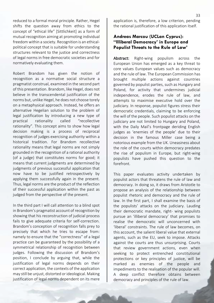reduced to a formal moral principle. Rather, Hegel shifts the question away from ethics to the concept of "ethical life" [Sittlichkeit] as a form of mutual recognition aiming at promoting individual freedom within a society. Recognition is an ethicalpolitical concept that is suitable for understanding structures relevant to the justice and correctness of legal norms in free democratic societies and for normatively evaluating them.

Robert Brandom has given the notion of recognition as a normative social structure a pragmatist construal, examined in the second part of this presentation. Brandom, like Hegel, does not believe in the transcendental justification of the norms but, unlike Hegel, he does not choose torely on a metaphysical approach. Instead, he offers an alternative Hegelian solution to the problem of legal justification by introducing a new type of practical rationality called "recollective rationality". This concept aims to show how legal decision making is a process of reciprocal recognition of judges exercising authority within a historical tradition. For Brandom recollective rationality means that legal norms are not simply grounded in the recognition of a rational authority (of a judge) that constitutes norms for good; it means that current judgments are determined by judgments of previous successful application that now have to be justified retrospectively by applying them successfully again in the present. Thus, legal norms are the product of the reflection of their successful application within the past as judged from the perspective of the present.

In the third part I will call attention to a blind spot in Brandom's pragmatist account of recognition by showing that his reconstruction of judicial process fails to give adequate criteria for self-correction. Brandom's conception of recognition falls prey to precisely that which he tries to escape from: namely to ensure that the "correctness" of a legal practice can be guaranteed by the possibility of a symmetrical relationship of recognition between judges. Following the discussion of Brandom's position, I conclude by arguing that, while the justification of legal norms depends on their correct application, the contexts of the application may still be unjust, distorted or ideological. Making justification of legal norms dependent on its mere

application is, therefore, a low criterion, pending the rational justification of this application itself.

#### **Andreas Marcou (UCLan Cyprus): ''Illiberal Democracy' in Europe and Populist Threats to the Rule of Law'**

Abstract: Right-wing populism across the European Union has emerged as a key threat to core values European values such as democracy and the rule of law. The European Commission has brought multiple actions against countries governed by populist parties, such as Hungary and Poland, for activity that undermines judicial independence, erodes the rule of law, and attempts to maximise executive hold over the judiciary. In response, populist figures stress their democratic credentials, claiming to be enforcing the will of the people. Such populist attacks on the judiciary are not limited to Hungary and Poland, with the Daily Mail's frontpage deriding English judges as 'enemies of the people' due to their decision in the famous Miller case being a notorious example from the UK. Uneasiness about the role of the courts within democracy predates the rise of populism in Europe, but right-wing populists have pushed this question to the forefront.

This paper evaluates activity undertaken by populist actors that threatens the rule of law and democracy. In doing so, it draws from Aristotle to propose an analysis of the relationship between populist rhetoric and democracy and the rule of law. In the first part, I shall examine the basis of the populists' attacks on the judiciary. Lauding their democratic mandate, right- wing populists pursue an 'illiberal democracy' that promises to realise the democratic will unconcerned with 'liberal' constraints. The rule of law becomes, on this account, the salient liberal value that external agents, such as the EU, seek to impose. Attacks against the courts are thus unsurprising. Courts that review government actions, even when seeking to protect entrenched constitutional protections or key principles of justice, will be marked as enemies of the people and impediments to the realisation of the popular will. A deep conflict therefore obtains between democracy and principles of the rule of law.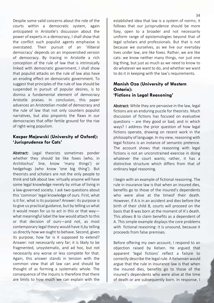Despite some valid concerns about the role of the courts within a democratic system, again anticipated in Aristotle's discussion about the power of experts in a democracy, I shall show that the conflict such populist agents emphasise is overstated. Their pursuit of an 'illiberal democracy' depends on an impoverished version of democracy. By tracing in Aristotle a rich conception of the rule of law that is intrinsically linked with democratic government, I shall show that populist attacks on the rule of law also have an eroding effect on democratic government. To suggest that principles of the rule of law should be suspended in pursuit of popular desires, is to dismiss a fundamental element of democracy Aristotle praises. In conclusion, this paper advances an Aristotelian model of democracy and the rule of law that not only counters populist narratives, but also pinpoints the flaws in our democracies that offer fertile ground for the rise of right-wing populism.

#### **Kacper Majewski (University of Oxford): 'Jurisprudence for Cats'**

Abstract: Legal theorists sometimes ponder whether they should be like foxes (who, in Archilochus' line, know 'many things') or hedgehogs (who know 'one big thing'). But theorists and scholars are not the only people to think and talk about law: virtually anyone will have some legal knowledge merely by virtue of living in a law-governed society. I ask two questions about this 'common' legal knowledge of ours. First, what is it for, what is its purpose? Answer: its purpose is to give us practical guidance, but by telling us what it would mean for us to act in this or that way what meaningful label the law would attach to this or that decision of ours—and not, as most contemporary legal theory would have it,by telling us directly how we ought to behave. Second, given its purpose, how far is it supposed to extend? Answer: not necessarily very far; it is likely to be fragmented, unsystematic, and ad hoc, but not necessarily any worse or less complete for that. Again, this answer stands in tension with the common view that all law can and should be thought of as forming a systematic whole. The consequence of the inquiry is therefore that there are limits to how much we can explain with the

established idea that law is a system of norms; it follows that our jurisprudence should be more foxy, open to a broader and not necessarily uniform range of epistemologies beyond that of legal scholars and professionals. But that is not because we ourselves, as we live our everyday lives under law, are like foxes. Rather, we are like cats: we know neither many things, nor just one big thing, but just as much as we need to know to do whatever we want to do, and whether we want to do it in keeping with the law's requirements.

#### **Manish Oza (University of Western Ontario): 'Fictions in Legal Reasoning'**

Abstract: While they are pervasive in the law, legal fictions are an enduring puzzle for theorists. Much discussion of fictions has focused on evaluative questions – are they good or bad, and in which ways? I address the prior question of how legal fictions operate, drawing on recent work in the philosophy of language. In my view, reasoning with legal fictions is an instance of semantic pretence. The account shows that reasoning with legal fictions is not an unconstrained exercise in doing whatever the court wants; rather, it has a distinctive structure which differs from that of ordinary legal reasoning.

I begin with an example of fictional reasoning. The rule in insurance law is that when an insured dies, benefits go to those of the insured's dependents who were alive at the timeof their death. However, if A is in an accident and dies before the birth of their child B, courts will proceed on the basis that B was born at the moment of A's death. This allows B to claim benefits as a dependent of A. This simple example displays the core problems with fictional reasoning: it is unsound, because it proceeds from false premises.

Before offering my own account, I respond to an objection raised by Kelsen. He argued that apparent 'legal fictions' reflect a failure to correctly describe the legal rule. A Kelsenian would argue that the rule in insurance law is that when the insured dies, benefits go to those of the insured's dependents who were alive at the time of death or are subsequently born. In response, I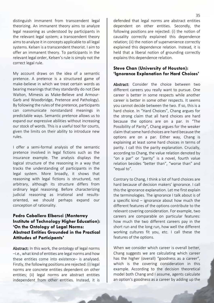distinguish immanent from transcendent legal theorizing. An immanent theory aims to analyze legal reasoning as understood by participants in the relevant legal system; a transcendent theory aims to analyze it in concepts applicable to all legal systems. Kelsen is a transcendent theorist. I aim to offer an immanent theory. To participants in the relevant legal order, Kelsen's rule is simply not the correct legal rule.

My account draws on the idea of a semantic pretence. A pretence is a structured game of make-believe in which we treat certain words as bearing meanings that they standardly do not (See Walton, Mimesis as Make-Believe and Armour-Garb and Woodbridge, Pretence and Pathology). By following the rules of the pretence, participants can communicate nonstandard meanings in predictable ways. Semantic pretence allows us to expand our expressive abilities without increasing our stock of words. This is a useful tool for courts, given the limits on their ability to introduce new rules.

I offer a semi-formal analysis of the semantic pretence involved in legal fictions such as the insurance example. The analysis displays the logical structure of the reasoning in a way that tracks the understanding of participants in the legal system. More broadly, it shows that reasoning with legal fictions is structured, not arbitrary, although its structure differs from ordinary legal reasoning. Before characterizing judicial reasoning as irrational and resultsoriented, we should perhaps expand our conception of rationality.

#### **Pedro Caballero Elbersci (Monterrey Institute of Technology Higher Education): 'On the Ontology of Legal Norms: Abstract Entities Grounded in the Practical Attitudes of Participants'**

Abstract: In this work, the ontology of legal norms –i.e., what kind of entities are legal norms and how these entities come into existence– is analysed. Firstly, the following positions are rejected: (i) legal norms are concrete entities dependent on other entities; (ii) legal norms are abstract entities independent from other entities. Instead, it is

defended that legal norms are abstract entities dependent on other entities. Secondly, the following positions are rejected: (i) the notion of causality correctly explained this dependence relation; (ii) the notion of supervenience correctly explained this dependence relation. Instead, it is held that a liberal notion of grounding correctly explains this dependence relation.

#### **Steve Chan (University of Houston): 'Ignorance Explanation for Hard Choices'**

Abstract: Consider the choice between two different careers you really want to pursue. One career is better in some respects while another career is better in some other respects. It seems you cannot decide between the two. If so, this is a hard choice. In "Hard Choices", Chang argues for the strong claim that all hard choices are hard because the options are on a par. In "The Possibility of Parity", Chang argues for the weaker claim that some hard choices are hard because the options are on a par. Either way, Chang is explaining at least some hard choices in terms of parity. I call this the parity explanation. Crucially, according to Chang, the value relation denoted by "on a par" or "parity" is a novel, fourth value relation besides "better than", "worse than" and "equal to".

Contrary to Chang, I think a lot of hard choices are hard because of decision makers' ignorance. I call this the ignorance explanation. Let me first explain the terminologies. The ignorance I talk about is of a specific kind – ignorance about how much the different features of the options contribute to the relevant covering consideration. For example, two careers are comparable on particular features: how much the two different careers pay in the short run and the long run, how well the different working cultures fit you, etc. I call these the features of the options.

When we consider which career is overall better, Chang suggests we are calculating which career has the higher (overall) "goodness as a career", which is the covering consideration in this example. According to the decision theoretical model both Chang and I assume, agents calculate an option's goodness as a career by adding up the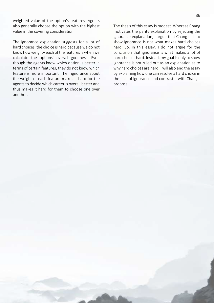weighted value of the option's features. Agents also generally choose the option with the highest value in the covering consideration.

The ignorance explanation suggests for a lot of hard choices, the choice is hard because we do not know how weighty each of the features is when we calculate the options' overall goodness. Even though the agents know which option is better in terms of certain features, they do not know which feature is more important. Their ignorance about the weight of each feature makes it hard for the agents to decide which career is overall better and thus makes it hard for them to choose one over another.

The thesis of this essay is modest. Whereas Chang motivates the parity explanation by rejecting the ignorance explanation, I argue that Chang fails to show ignorance is not what makes hard choices hard. So, in this essay, I do not argue for the conclusion that ignorance is what makes a lot of hard choices hard. Instead, my goal is only to show ignorance is not ruled out as an explanation as to why hard choices are hard. I will also end the essay by explaining how one can resolve a hard choice in the face of ignorance and contrast it with Chang's proposal.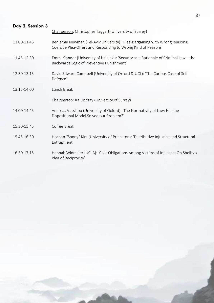<span id="page-37-0"></span>

| Day 2, Session 3 | Chairperson: Christopher Taggart (University of Surrey)                                                                                      |
|------------------|----------------------------------------------------------------------------------------------------------------------------------------------|
| 11.00-11.45      | Benjamin Newman (Tel-Aviv University): 'Plea-Bargaining with Wrong Reasons:<br>Coercive Plea-Offers and Responding to Wrong Kind of Reasons' |
| 11.45-12.30      | Emmi Kiander (University of Helsinki): 'Security as a Rationale of Criminal Law - the<br>Backwards Logic of Preventive Punishment'           |
| 12.30-13.15      | David Edward Campbell (University of Oxford & UCL): 'The Curious Case of Self-<br>Defence'                                                   |
| 13.15-14.00      | Lunch Break                                                                                                                                  |
|                  | Chairperson: Ira Lindsay (University of Surrey)                                                                                              |
| 14.00-14.45      | Andreas Vassiliou (University of Oxford): 'The Normativity of Law: Has the<br>Dispositional Model Solved our Problem?'                       |
| 15.30-15.45      | Coffee Break                                                                                                                                 |
| 15.45-16.30      | Hochan "Sonny" Kim (University of Princeton): 'Distributive Injustice and Structural<br>Entrapment'                                          |
| 16.30-17.15      | Hannah Widmaier (UCLA): 'Civic Obligations Among Victims of Injustice: On Shelby's<br>Idea of Reciprocity'                                   |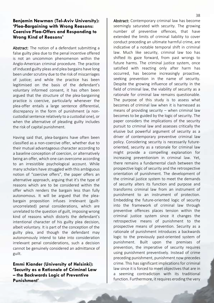#### **Benjamin Newman (Tel-Aviv University): 'Plea-Bargaining with Wrong Reasons: Coercive Plea-Offers and Responding to Wrong Kind of Reasons'**

Abstract: The notion of a defendant submitting a false guilty plea due to the penal incentive offered is not an uncommon phenomenon within the Anglo-American criminal procedure. The practice of induced guilty pleas and plea bargains have long been under scrutiny due to the risk of miscarriages of justice; and while the practice has been legitimised on the basis of the defendant's voluntary informed consent, it has often been argued that the structure of the plea-bargaining practice is coercive, particularly whenever the plea-offer entails a large sentence differential, discrepancy in the form of punishment (a noncustodial sentence relatively to a custodial one), or when the alternative of pleading guilty includes the risk of capital punishment.

Having said that, plea-bargains have often been classified as a non-coercive offer, whether due to their mutual advantageous character according to a baseline conception of coercion, or alternatively being an offer, which one can overcome according to an irresistible psychological account. While many scholars have struggled with this ambiguous notion of "coercive offers", the paper offers an alternative approach, arguing that it's the type of reasons which are to be considered within the offer which renders the bargain less than fully autonomous. It will be argued that the pleabargain proposition infuses irrelevant (guiltuncorrelated) penal considerations, which are unrelated to the question of guilt, imposing wrong kind of reasons which distorts the defendant's intentional character of his guilty plea decision, albeit voluntary. It is part of the conception of the guilty plea, and though the defendant may autonomously intend to take into consideration irrelevant penal considerations, such a decision cannot be genuinely considered an admittance of guilt.

**Emmi Kiander (University of Helsinki): 'Security as a Rationale of Criminal Law – the Backwards Logic of Preventive Punishment'**

Abstract: Contemporary criminal law has become seemingly saturated with security. The growing number of preventive offences, that have extended the limits of criminal liability to cover conduct preceding an ultimate harmful crime, are indicative of a notable temporal shift in criminal law. Much like security, criminal law too has shifted its gaze forward, from past wrongs to future harms. The criminal justice system, once satisfied with reacting only after harm has occurred, has become increasingly proactive, seeking prevention in the name of security. Despite the growing influence of security in the field of criminal law, the viability of security as a rationale for criminal law remains questionable. The purpose of this study is to assess what becomes of criminal law when it is harnessed as means of providing security  $-$  when criminal law becomes to be guided by the logic of security. The paper considers the implications of the security pursuit to criminal law and assesses critically the elusive but powerful argument of security as a driver of contemporary preventive criminal law policy. Considering security is necessarily futureoriented, security as a rationale for criminal law might provide a compelling explanation for increasing preventionism in criminal law. Yet, there remains a fundamental clash between the prospective logic of security and the retrospective orientation of punishment. The development of the criminal justice system to meet the demands of security alters its function and purpose and transforms criminal law from an instrument of punishment to an instrument of protection. Embedding the future-oriented logic of security into the framework of criminal law through preventive offences places tension within the criminal justice system since it changes the retrospective means of punishment to the prospective means of prevention. Security as a rationale of punishment introduces a backwards logic to the previously past-oriented system of punishment. Built upon the premises of prevention, the imperative of security requires using punishment preventively. Instead of crime preceding punishment, punishment now precedes crime. This has significant implications for criminal law since it is forced to meet objectives that are in a seeming contradiction with its traditional function. Furthermore, it requires eroding the very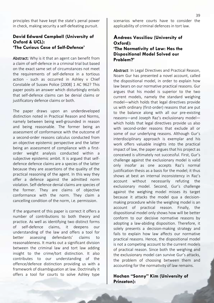principles that have kept the state's penal power in check, making security a self-defeating pursuit.

#### **David Edward Campbell (University of Oxford & UCL): 'The Curious Case of Self-Defence'**

Abstract: Why is it that an agent can benefit from a claim of self-defence in a criminal trial but based on the exact same set of circumstances not meet the requirements of self-defence in a tortious action - such as occurred in Ashley v Chief Constable of Sussex Police [2008] 1 AC 962? This paper posits an answer which disturbingly entails that self-defence claims can be denial claims or justificatory defence claims or both.

The paper draws upon an underdeveloped distinction noted in Practical Reason and Norms, namely between being well-grounded in reason and being reasonable. The former being an assessment of conformance with the outcome of a second-order reasons calculus conducted from an objective epistemic perspective and the latter being an assessment of compliance with a firstorder weight analysis conducted within a subjective epistemic ambit. It is argued that selfdefence defence claims are a species of the latter because they are assertions of the quality of the practical reasoning of the agent. In this way they offer a defence against the admitted norm violation. Self-defence denial claims are species of the former. They are claims of objective conformance with the norm. They claim a cancelling condition of the norm, i.e. permission.

If the argument of this paper is correct it offers a number of contributions to both theory and practice. As well as identifying two distinct forms of self-defence claims, it deepens our understanding of the law and offers a tool for better assessing defendants' claims to reasonableness. It marks out a significant division between the criminal law and tort law adding insight to the crime/tort distinction. It also contributes to our understanding of the offence/defence distinction providing us with a framework of disambiguation at law. Doctrinally it offers a tool for courts to solve Ashley type

scenarios where courts have to consider the applicability of criminal defences in tort law.

#### **Andreas Vassiliou (University of Oxford): 'The Normativity of Law: Has the Dispositional Model Solved our Problem?'**

Abstract: In Legal Directives and Practical Reason, Noam Gur has presented a novel account, called the dispositional model, in order to explain how law bears on our normative practical reasons. Gur argues that his model is superior to the two current models, namely the standard weighing model—which holds that legal directives provide us with ordinary (first-order) reasons that are put to the balance along with all our pre-existing reasons—and Joseph Raz's exclusionary model which holds that legal directives provide us also with second-order reasons that exclude all or some of our underlying reasons. Although Gur's interdisciplinary approach is exemplar and his work offers valuable insights into the practical impact of law, the paper argues that his project as conceived is ultimately not successful. First, Gur's challenge against the exclusionary model is valid only insofar as one accepts Raz's normal justification thesis as a basis for the model; it thus shows at best an internal inconsistency in Raz's account without necessarily refuting the exclusionary model. Second, Gur's challenge against the weighing model misses its target because it attacks the model qua a decisionmaking procedure while the weighing model is an account of practical reason. Finally, the dispositional model only shows how will be better conform to our decisive normative reasons by adopting a law-abiding disposition. Therefore, it solely presents a decision-making strategy and fails to explain how law affects our normative practical reasons. Hence, the dispositional model is not a competing account to the current models of practical reason. Since both the weighing and the exclusionary model can survive Gur's attacks, the problem of choosing between them and accounting for the normativity of law remains.

**Hochan "Sonny" Kim (University of Princeton):**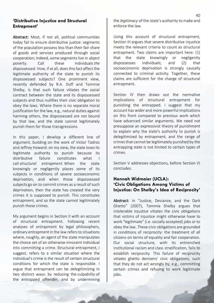#### **'Distributive Injustice and Structural Entrapment'**

Abstract: Most, if not all, political communities today fail to ensure distributive justice: segments of the population possess less than their fair share of goods and services produced through social cooperation; indeed, some segments live in abject poverty. Call these individuals *the dispossessed.* How, if at all, does this fact affect the legitimate authority of the state to punish its dispossessed subjects? One prominent view, recently defended by R.A. Duff and Tommie Shelby, is that such failure vitiates the social contract between the state and its dispossessed subjects and thus nullifies their civic obligation to obey the laws. Where there is no separate moral justification for the law, e.g., natural duties against harming others, the dispossessed are not bound by that law, and the state cannot legitimately punish them for those transgressions.

In this paper, I develop a different line of argument, building on the work of Victor Tadros and Jeffrey Howard: on my view, the state loses its legitimate authority to punish because its distributive failure constitutes what I call *structural entrapment.* When the state knowingly or negligently places some of its subjects in conditions of severe socioeconomic deprivation, and when those dispossessed subjects go on to commit crimes as a result of such deprivation, then the state has created the very crimes it is supposed to punish. This constitutes entrapment, and so the state cannot legitimately punish these crimes.

My argument begins in Section II with an account of structural entrapment. Following recent analyses of entrapment by legal philosophers, ordinary entrapment in the law refers to situations where, roughly, an agent of the state manipulates the choice set of an otherwise-innocent individual into committing a crime. Structural entrapment, I suggest, refers to a similar situation where the individual's crime is the result of certain structural conditions for which the state is responsible. I argue that entrapment can be delegitimizing in two distinct ways: by reducing the *culpability* of the entrapped offender, and by undermining the *legitimacy* of the state's authority to make and enforce the law.

Using this account of structural entrapment, Section III argues that severe distributive injustice meets the relevant criteria to count as structural entrapment. Two claims are important here: (1) that the state knowingly or negligently dispossesses individuals; and (2) that socioeconomic deprivation is strongly causally connected to criminal activity. Together, these claims are sufficient for the charge of structural entrapment.

Section IV then draws out the normative implications of structural entrapment for punishing the entrapped. I suggest that my account has wider and more powerful implications on this front compared to previous work which have advanced similar arguments. We need not presuppose an expressivist theory of punishment to explain why the state's authority to punish is delegitimized by entrapment, and the range of crimes that cannot be legitimately punished by the entrapping state is not limited to certain types of crimes.

Section V addresses objections, before Section VI concludes.

#### **Hannah Widmaier (UCLA): 'Civic Obligations Among Victims of Injustice: On Shelby's Idea of Reciprocity'**

Abstract: In "Justice, Deviance, and the Dark Ghetto" (2007), Tommie Shelby argues that intolerable injustice vitiates the civic obligations that victims of injustice might otherwise have to work "legitimate" (i.e. socially accepted) jobs or to obey the law. These civic obligations are grounded in conditions of reciprocity: the treatment of all citizens on terms of equality and fair cooperation. Our social structure, with its entrenched institutional racism and class stratification, fails to establish reciprocity. This failure of reciprocity vitiates ghetto denizens' civic obligations, such that they do not act wrongly by, e.g., committing certain crimes and refusing to work legitimate jobs.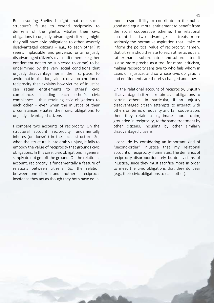But assuming Shelby is right that our social structure's failure to extend reciprocity to denizens of the ghetto vitiates their civic obligations to unjustly advantaged citizens, might they still have civic obligations to other severely disadvantaged citizens – e.g., to each other? It seems implausible, and perverse, for an unjustly disadvantaged citizen's civic entitlements (e.g. her entitlement not to be subjected to crime) to be undermined by the very social conditions that unjustly disadvantage her in the first place. To avoid that implication, I aim to develop a notion of reciprocity that explains how victims of injustice can retain entitlements to others' civic compliance, including each other's civic compliance – thus retaining civic obligations to each other – even when the injustice of their circumstances vitiates their civic obligations to unjustly advantaged citizens.

I compare two accounts of reciprocity. On the structural account, reciprocity fundamentally inheres (or doesn't) in the social structure. So, when the structure is intolerably unjust, it fails to embody the value of reciprocity that grounds civic obligations. In this case, civic obligations in general simply do not get off the ground. On the relational account, reciprocity is fundamentally a feature of relations between citizens. So, the relation between one citizen and another is reciprocal insofar as they act as though they both have equal moral responsibility to contribute to the public good and equal moral entitlement to benefit from the social cooperative scheme. The relational account has two advantages. It treats more seriously the normative aspiration that I take to inform the political value of reciprocity: namely, that citizens should relate to each other as equals, rather than as subordinators and subordinated. It is also more precise as a tool for moral criticism, making reciprocity sensitive to who fails whom in cases of injustice, and so whose civic obligations and entitlements are thereby changed and how.

On the relational account of reciprocity, unjustly disadvantaged citizens retain civic obligations to certain others. In particular, if an unjustly disadvantaged citizen attempts to interact with others on terms of equality and fair cooperation, then they retain a legitimate moral claim, grounded in reciprocity, to the same treatment by other citizens, including by other similarly disadvantaged citizens.

I conclude by considering an important kind of "second-order" injustice that my relational account of reciprocity illuminates: The demands of reciprocity disproportionately burden victims of injustice, since they must sacrifice more in order to meet the civic obligations that they do bear (e.g., their civic obligations to each other).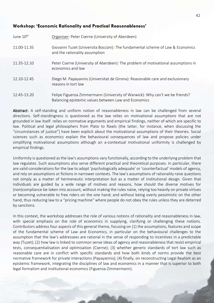#### <span id="page-42-0"></span>**Workshop: 'Economic Rationality and Practical Reasonableness'**

| June 10 <sup>th</sup> | Organiser: Peter Cserne (University of Aberdeen)                                                                                     |
|-----------------------|--------------------------------------------------------------------------------------------------------------------------------------|
| 11.00-11.35           | Giovanni Tuzet (Universita Bocconi): The fundamental scheme of Law & Economics<br>and the rationality assumption                     |
| 11.35-12.10           | Peter Cserne (University of Aberdeen): The problem of motivational assumptions in<br>economics and law                               |
| 12.10-12.45           | Diego M. Papayannis (Universitat de Girona): Reasonable care and exclusionary<br>reasons in tort law                                 |
| 12.45-13.20           | Felipe Figueroa Zimmermann (University of Warwick): Why can't we be friends?<br>Balancing epistemic values between Law and Economics |

Abstract: A self-standing and uniform notion of reasonableness in law can be challenged from several directions. Self-standingness is questioned as the law relies on motivational assumptions that are not grounded in law itself. relies on normative arguments and empirical findings, neither of which are specific to law. Political and legal philosophers from Plato to Rawls (the latter, for instance, when discussing the "circumstances of justice") have been explicit about the motivational assumptions of their theories. Social sciences such as economics explain the behavioural consequences of law and propose policies under simplifying motivational assumptions although an a-contextual motivational uniformity is challenged by empirical findings.

Uniformity is questioned as the law's assumptions vary functionally, according to the underlying problem that law regulates. Such assumptions also serve different practical and theoretical purposes. In particular, there are valid considerations for the law to adopt 'psychologically adequate' or 'counterfactual' models of agency, and rely on assumptions or fictions in narrower contexts. The law's assumptions of rationality raise questions not simply as a matter of hermeneutic interpretation but as a matter of institutional design. Given that individuals are guided by a wide range of motives and reasons, how should the diverse motives for (non)compliance be taken into account, without making the rules naïve, relying too heavily on private virtues or becoming vulnerable to free riders on the one hand; and without being overly pessimistic on the other hand, thus reducing law to a "pricing machine" where people do not obey the rules unless they are deterred by sanctions.

In this context, the workshop addresses the role of various notions of rationality and reasonableness in law, with special emphasis on the role of economics in supplying, clarifying or challenging these notions. Contributors address four aspects of this general theme, focusing on (1) the assumptions, features and scope of the fundamental scheme of Law and Economics, in particular on the behavioural challenges to the assumption that the law's addressees are rational in the sense of responding to incentives in a predictable way (Tuzet); (2) how law is linked to common sense ideas of agency and reasonableness that resist empirical tests, consequentialisation and optimisation (Cserne); (3) whether generic standards of tort law such as reasonable care are in conflict with specific standards and how both kinds of norms provide the best normative framework for private interactions (Papayannis); (4) finally, on reconstructing Legal Realism as an epistemic framework, integrating the disciplines of law and economics in a manner that is superior to both legal formalism and institutional economics (Figueroa-Zimmermann).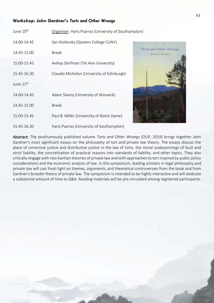#### <span id="page-43-0"></span>**Workshop: John Gardner's** *Torts and Other Wrongs*

| June 10 <sup>th</sup> | Organiser: Haris Psarras (University of Southampton) |
|-----------------------|------------------------------------------------------|
| 14.00-14.45           | Sari Kisilevsky (Queens College CUNY)                |
| 14.45-15.00           | T<br><b>Break</b>                                    |
| 15.00-15.45           | Avihay Dorfman (Tel Aviv University)                 |
| 15.45-16.30           | Claudio Michelon (University of Edinburgh)           |
| June 11 <sup>th</sup> |                                                      |
| 14.00-14.45           | Adam Slavny (University of Warwick)                  |
| 14.45-15.00           | <b>Break</b>                                         |
| 15.00-15.45           | Paul B. Miller (University of Notre Dame)            |
| 15.45-16.30           | Haris Psarras (University of Southampton)            |



Abstract: The posthumously published volume *Torts and Other Wrongs* (OUP, 2019) brings together John Gardner's most significant essays on the philosophy of tort and private law theory. The essays discuss the place of corrective justice and distributive justice in the law of torts, the moral underpinnings of fault and strict liability, the concretisation of practical reasons into standards of liability, and other topics. They also critically engage with neo-Kantian theories of private law and with approaches to tort inspired by public policy considerations and the economic analysis of law. In this symposium, leading scholars in legal philosophy and private law will cast fresh light on themes, arguments, and theoretical controversies from the book and from Gardner's broader theory of private law. The symposium is intended to be highly interactive and will dedicate a substantial amount of time to Q&A. Reading materials will be pre-circulated among registered participants.